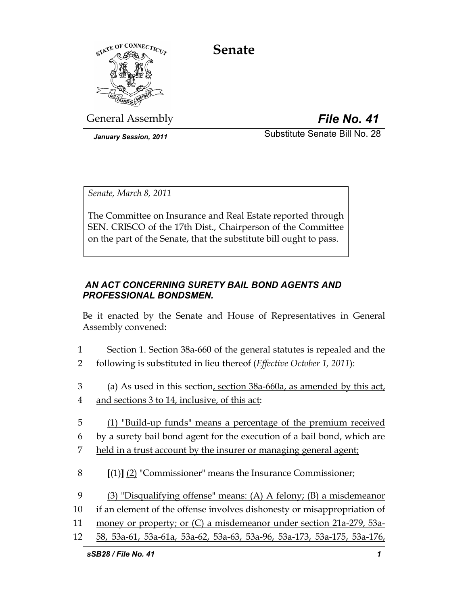**Senate** 



General Assembly *File No. 41*

*January Session, 2011* **Substitute Senate Bill No. 28** 

*Senate, March 8, 2011* 

The Committee on Insurance and Real Estate reported through SEN. CRISCO of the 17th Dist., Chairperson of the Committee on the part of the Senate, that the substitute bill ought to pass.

# *AN ACT CONCERNING SURETY BAIL BOND AGENTS AND PROFESSIONAL BONDSMEN.*

Be it enacted by the Senate and House of Representatives in General Assembly convened:

- 1 Section 1. Section 38a-660 of the general statutes is repealed and the 2 following is substituted in lieu thereof (*Effective October 1, 2011*):
- 3 (a) As used in this section, section 38a-660a, as amended by this act, 4 and sections 3 to 14, inclusive, of this act:
- 5 (1) "Build-up funds" means a percentage of the premium received
- 6 by a surety bail bond agent for the execution of a bail bond, which are
- 7 held in a trust account by the insurer or managing general agent;
- 8 **[**(1)**]** (2) "Commissioner" means the Insurance Commissioner;
- 9 (3) "Disqualifying offense" means: (A) A felony; (B) a misdemeanor
- 10 if an element of the offense involves dishonesty or misappropriation of
- 11 money or property; or (C) a misdemeanor under section 21a-279, 53a-
- 12 58, 53a-61, 53a-61a, 53a-62, 53a-63, 53a-96, 53a-173, 53a-175, 53a-176,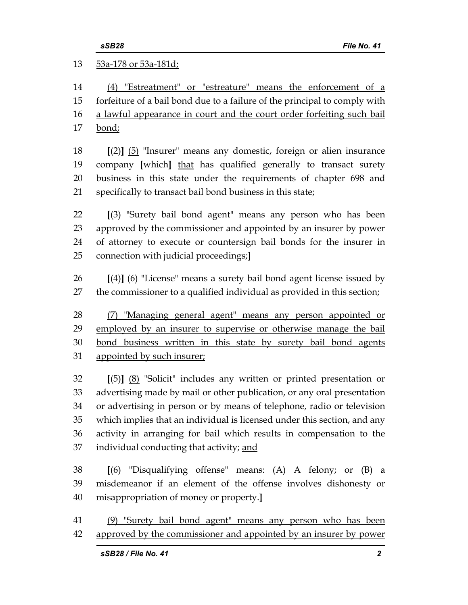13 53a-178 or 53a-181d; 14 (4) "Estreatment" or "estreature" means the enforcement of a 15 forfeiture of a bail bond due to a failure of the principal to comply with 16 a lawful appearance in court and the court order forfeiting such bail 17 bond; 18 **[**(2)**]** (5) "Insurer" means any domestic, foreign or alien insurance 19 company **[**which**]** that has qualified generally to transact surety 20 business in this state under the requirements of chapter 698 and 21 specifically to transact bail bond business in this state; 22 **[**(3) "Surety bail bond agent" means any person who has been 23 approved by the commissioner and appointed by an insurer by power 24 of attorney to execute or countersign bail bonds for the insurer in 25 connection with judicial proceedings;**]** 26 **[**(4)**]** (6) "License" means a surety bail bond agent license issued by 27 the commissioner to a qualified individual as provided in this section; 28 (7) "Managing general agent" means any person appointed or 29 employed by an insurer to supervise or otherwise manage the bail 30 bond business written in this state by surety bail bond agents 31 appointed by such insurer; 32 **[**(5)**]** (8) "Solicit" includes any written or printed presentation or 33 advertising made by mail or other publication, or any oral presentation 34 or advertising in person or by means of telephone, radio or television 35 which implies that an individual is licensed under this section, and any 36 activity in arranging for bail which results in compensation to the 37 individual conducting that activity; and 38 **[**(6) "Disqualifying offense" means: (A) A felony; or (B) a 39 misdemeanor if an element of the offense involves dishonesty or 40 misappropriation of money or property.**]** 

41 (9) "Surety bail bond agent" means any person who has been 42 approved by the commissioner and appointed by an insurer by power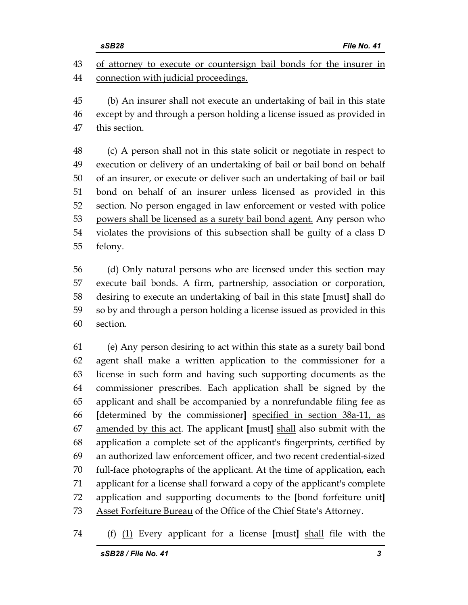43 of attorney to execute or countersign bail bonds for the insurer in 44 connection with judicial proceedings.

45 (b) An insurer shall not execute an undertaking of bail in this state 46 except by and through a person holding a license issued as provided in 47 this section.

48 (c) A person shall not in this state solicit or negotiate in respect to 49 execution or delivery of an undertaking of bail or bail bond on behalf 50 of an insurer, or execute or deliver such an undertaking of bail or bail 51 bond on behalf of an insurer unless licensed as provided in this 52 section. No person engaged in law enforcement or vested with police 53 powers shall be licensed as a surety bail bond agent. Any person who 54 violates the provisions of this subsection shall be guilty of a class D 55 felony.

56 (d) Only natural persons who are licensed under this section may 57 execute bail bonds. A firm, partnership, association or corporation, 58 desiring to execute an undertaking of bail in this state **[**must**]** shall do 59 so by and through a person holding a license issued as provided in this 60 section.

61 (e) Any person desiring to act within this state as a surety bail bond 62 agent shall make a written application to the commissioner for a 63 license in such form and having such supporting documents as the 64 commissioner prescribes. Each application shall be signed by the 65 applicant and shall be accompanied by a nonrefundable filing fee as 66 **[**determined by the commissioner**]** specified in section 38a-11, as 67 amended by this act. The applicant **[**must**]** shall also submit with the 68 application a complete set of the applicant's fingerprints, certified by 69 an authorized law enforcement officer, and two recent credential-sized 70 full-face photographs of the applicant. At the time of application, each 71 applicant for a license shall forward a copy of the applicant's complete 72 application and supporting documents to the **[**bond forfeiture unit**]** 73 Asset Forfeiture Bureau of the Office of the Chief State's Attorney.

74 (f) (1) Every applicant for a license **[**must**]** shall file with the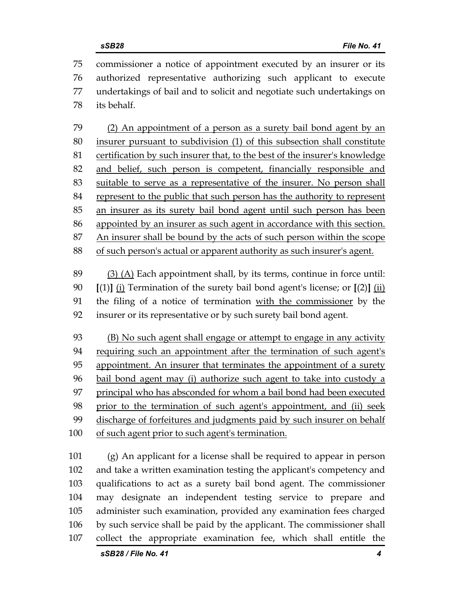75 commissioner a notice of appointment executed by an insurer or its 76 authorized representative authorizing such applicant to execute 77 undertakings of bail and to solicit and negotiate such undertakings on 78 its behalf.

79 (2) An appointment of a person as a surety bail bond agent by an 80 insurer pursuant to subdivision (1) of this subsection shall constitute 81 certification by such insurer that, to the best of the insurer's knowledge 82 and belief, such person is competent, financially responsible and 83 suitable to serve as a representative of the insurer. No person shall 84 represent to the public that such person has the authority to represent 85 an insurer as its surety bail bond agent until such person has been 86 appointed by an insurer as such agent in accordance with this section. 87 An insurer shall be bound by the acts of such person within the scope 88 of such person's actual or apparent authority as such insurer's agent.

89 (3) (A) Each appointment shall, by its terms, continue in force until: 90 **[**(1)**]** (i) Termination of the surety bail bond agent's license; or **[**(2)**]** (ii) 91 the filing of a notice of termination with the commissioner by the 92 insurer or its representative or by such surety bail bond agent.

93 (B) No such agent shall engage or attempt to engage in any activity 94 requiring such an appointment after the termination of such agent's 95 appointment. An insurer that terminates the appointment of a surety 96 bail bond agent may (i) authorize such agent to take into custody a 97 principal who has absconded for whom a bail bond had been executed 98 prior to the termination of such agent's appointment, and (ii) seek 99 discharge of forfeitures and judgments paid by such insurer on behalf 100 of such agent prior to such agent's termination.

101 (g) An applicant for a license shall be required to appear in person 102 and take a written examination testing the applicant's competency and 103 qualifications to act as a surety bail bond agent. The commissioner 104 may designate an independent testing service to prepare and 105 administer such examination, provided any examination fees charged 106 by such service shall be paid by the applicant. The commissioner shall 107 collect the appropriate examination fee, which shall entitle the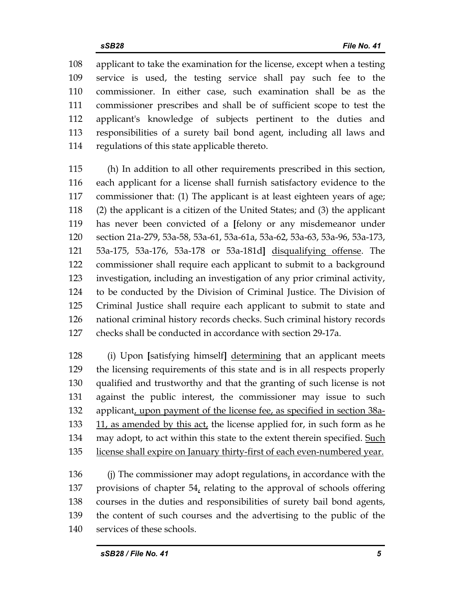108 applicant to take the examination for the license, except when a testing 109 service is used, the testing service shall pay such fee to the 110 commissioner. In either case, such examination shall be as the 111 commissioner prescribes and shall be of sufficient scope to test the 112 applicant's knowledge of subjects pertinent to the duties and 113 responsibilities of a surety bail bond agent, including all laws and 114 regulations of this state applicable thereto.

115 (h) In addition to all other requirements prescribed in this section, 116 each applicant for a license shall furnish satisfactory evidence to the 117 commissioner that: (1) The applicant is at least eighteen years of age; 118 (2) the applicant is a citizen of the United States; and (3) the applicant 119 has never been convicted of a **[**felony or any misdemeanor under 120 section 21a-279, 53a-58, 53a-61, 53a-61a, 53a-62, 53a-63, 53a-96, 53a-173, 121 53a-175, 53a-176, 53a-178 or 53a-181d**]** disqualifying offense. The 122 commissioner shall require each applicant to submit to a background 123 investigation, including an investigation of any prior criminal activity, 124 to be conducted by the Division of Criminal Justice. The Division of 125 Criminal Justice shall require each applicant to submit to state and 126 national criminal history records checks. Such criminal history records 127 checks shall be conducted in accordance with section 29-17a.

128 (i) Upon **[**satisfying himself**]** determining that an applicant meets 129 the licensing requirements of this state and is in all respects properly 130 qualified and trustworthy and that the granting of such license is not 131 against the public interest, the commissioner may issue to such 132 applicant, upon payment of the license fee, as specified in section 38a-133 11, as amended by this act, the license applied for, in such form as he 134 may adopt, to act within this state to the extent therein specified. Such 135 license shall expire on January thirty-first of each even-numbered year.

136 (j) The commissioner may adopt regulations, in accordance with the 137 provisions of chapter 54, relating to the approval of schools offering 138 courses in the duties and responsibilities of surety bail bond agents, 139 the content of such courses and the advertising to the public of the 140 services of these schools.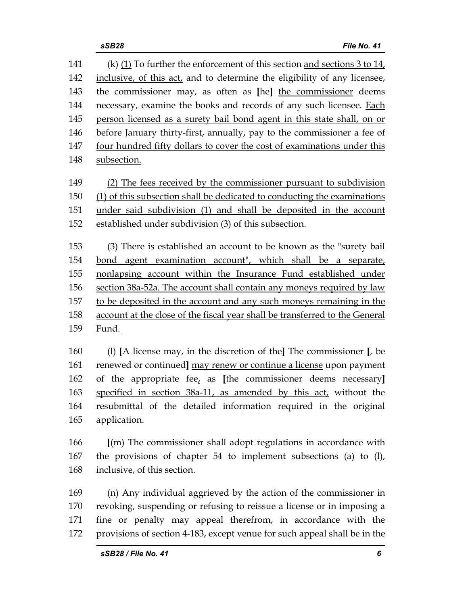141 (k) (1) To further the enforcement of this section and sections 3 to 14, 142 inclusive, of this act, and to determine the eligibility of any licensee, 143 the commissioner may, as often as **[**he**]** the commissioner deems 144 necessary, examine the books and records of any such licensee. Each 145 person licensed as a surety bail bond agent in this state shall, on or 146 before January thirty-first, annually, pay to the commissioner a fee of 147 four hundred fifty dollars to cover the cost of examinations under this 148 subsection.

149 (2) The fees received by the commissioner pursuant to subdivision 150 (1) of this subsection shall be dedicated to conducting the examinations 151 under said subdivision (1) and shall be deposited in the account 152 established under subdivision (3) of this subsection.

153 (3) There is established an account to be known as the "surety bail 154 bond agent examination account", which shall be a separate, 155 nonlapsing account within the Insurance Fund established under 156 section 38a-52a. The account shall contain any moneys required by law 157 to be deposited in the account and any such moneys remaining in the 158 account at the close of the fiscal year shall be transferred to the General 159 Fund.

160 (l) **[**A license may, in the discretion of the**]** The commissioner **[**, be 161 renewed or continued**]** may renew or continue a license upon payment 162 of the appropriate fee, as **[**the commissioner deems necessary**]** 163 specified in section 38a-11, as amended by this act, without the 164 resubmittal of the detailed information required in the original 165 application.

166 **[**(m) The commissioner shall adopt regulations in accordance with 167 the provisions of chapter 54 to implement subsections (a) to (l), 168 inclusive, of this section.

169 (n) Any individual aggrieved by the action of the commissioner in 170 revoking, suspending or refusing to reissue a license or in imposing a 171 fine or penalty may appeal therefrom, in accordance with the 172 provisions of section 4-183, except venue for such appeal shall be in the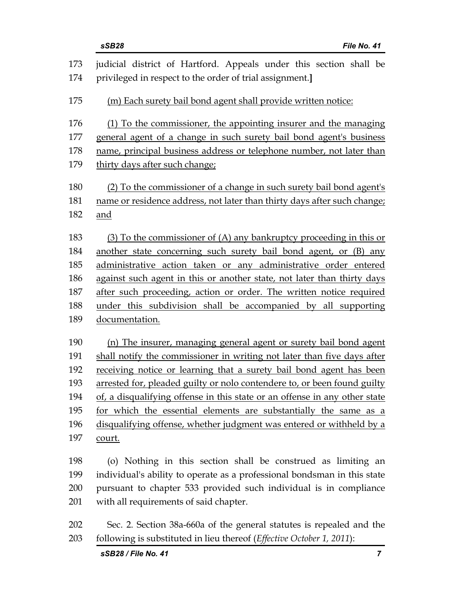|            | sSB28<br>File No. 41                                                                                                           |
|------------|--------------------------------------------------------------------------------------------------------------------------------|
| 173<br>174 | judicial district of Hartford. Appeals under this section shall be<br>privileged in respect to the order of trial assignment.] |
| 175        | (m) Each surety bail bond agent shall provide written notice:                                                                  |
| 176        | (1) To the commissioner, the appointing insurer and the managing                                                               |
| 177        | general agent of a change in such surety bail bond agent's business                                                            |
| 178        | name, principal business address or telephone number, not later than                                                           |
| 179        | thirty days after such change;                                                                                                 |
| 180        | (2) To the commissioner of a change in such surety bail bond agent's                                                           |
| 181        | name or residence address, not later than thirty days after such change;                                                       |
| 182        | and                                                                                                                            |
| 183        | (3) To the commissioner of (A) any bankruptcy proceeding in this or                                                            |
| 184        | another state concerning such surety bail bond agent, or (B) any                                                               |
| 185        | administrative action taken or any administrative order entered                                                                |
| 186        | against such agent in this or another state, not later than thirty days                                                        |
| 187        | after such proceeding, action or order. The written notice required                                                            |
| 188        | under this subdivision shall be accompanied by all supporting                                                                  |
| 189        | documentation.                                                                                                                 |
| 190        | (n) The insurer, managing general agent or surety bail bond agent                                                              |
| 191        | shall notify the commissioner in writing not later than five days after                                                        |
| 192        | receiving notice or learning that a surety bail bond agent has been                                                            |
| 193        | arrested for, pleaded guilty or nolo contendere to, or been found guilty                                                       |
| 194        | of, a disqualifying offense in this state or an offense in any other state                                                     |
| 195        | for which the essential elements are substantially the same as a                                                               |
| 196        | disqualifying offense, whether judgment was entered or withheld by a                                                           |
| 197        | <u>court.</u>                                                                                                                  |
| 198        | (o) Nothing in this section shall be construed as limiting an                                                                  |
| 199        | individual's ability to operate as a professional bondsman in this state                                                       |
| 200        | pursuant to chapter 533 provided such individual is in compliance                                                              |
| 201        | with all requirements of said chapter.                                                                                         |
| 202        | Sec. 2. Section 38a-660a of the general statutes is repealed and the                                                           |

203 following is substituted in lieu thereof (*Effective October 1, 2011*):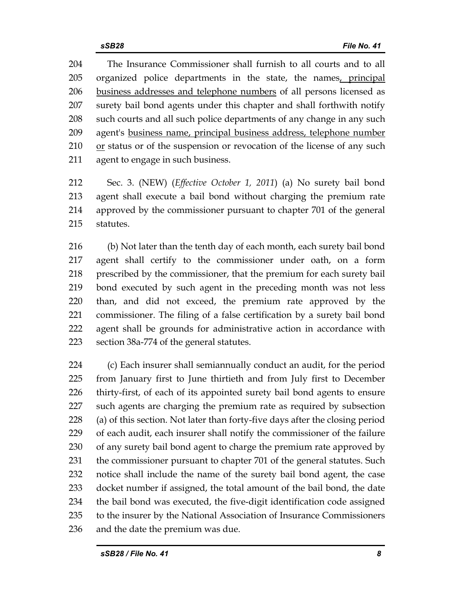204 The Insurance Commissioner shall furnish to all courts and to all 205 organized police departments in the state, the names, principal 206 business addresses and telephone numbers of all persons licensed as 207 surety bail bond agents under this chapter and shall forthwith notify 208 such courts and all such police departments of any change in any such 209 agent's business name, principal business address, telephone number  $210$  or status or of the suspension or revocation of the license of any such 211 agent to engage in such business.

212 Sec. 3. (NEW) (*Effective October 1, 2011*) (a) No surety bail bond 213 agent shall execute a bail bond without charging the premium rate 214 approved by the commissioner pursuant to chapter 701 of the general 215 statutes.

216 (b) Not later than the tenth day of each month, each surety bail bond 217 agent shall certify to the commissioner under oath, on a form 218 prescribed by the commissioner, that the premium for each surety bail 219 bond executed by such agent in the preceding month was not less 220 than, and did not exceed, the premium rate approved by the 221 commissioner. The filing of a false certification by a surety bail bond 222 agent shall be grounds for administrative action in accordance with 223 section 38a-774 of the general statutes.

224 (c) Each insurer shall semiannually conduct an audit, for the period 225 from January first to June thirtieth and from July first to December 226 thirty-first, of each of its appointed surety bail bond agents to ensure 227 such agents are charging the premium rate as required by subsection 228 (a) of this section. Not later than forty-five days after the closing period 229 of each audit, each insurer shall notify the commissioner of the failure 230 of any surety bail bond agent to charge the premium rate approved by 231 the commissioner pursuant to chapter 701 of the general statutes. Such 232 notice shall include the name of the surety bail bond agent, the case 233 docket number if assigned, the total amount of the bail bond, the date 234 the bail bond was executed, the five-digit identification code assigned 235 to the insurer by the National Association of Insurance Commissioners 236 and the date the premium was due.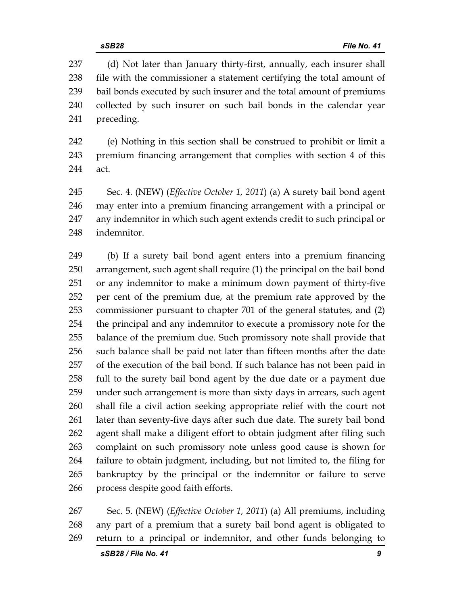237 (d) Not later than January thirty-first, annually, each insurer shall 238 file with the commissioner a statement certifying the total amount of 239 bail bonds executed by such insurer and the total amount of premiums 240 collected by such insurer on such bail bonds in the calendar year 241 preceding.

242 (e) Nothing in this section shall be construed to prohibit or limit a 243 premium financing arrangement that complies with section 4 of this 244 act.

245 Sec. 4. (NEW) (*Effective October 1, 2011*) (a) A surety bail bond agent 246 may enter into a premium financing arrangement with a principal or 247 any indemnitor in which such agent extends credit to such principal or 248 indemnitor.

249 (b) If a surety bail bond agent enters into a premium financing 250 arrangement, such agent shall require (1) the principal on the bail bond 251 or any indemnitor to make a minimum down payment of thirty-five 252 per cent of the premium due, at the premium rate approved by the 253 commissioner pursuant to chapter 701 of the general statutes, and (2) 254 the principal and any indemnitor to execute a promissory note for the 255 balance of the premium due. Such promissory note shall provide that 256 such balance shall be paid not later than fifteen months after the date 257 of the execution of the bail bond. If such balance has not been paid in 258 full to the surety bail bond agent by the due date or a payment due 259 under such arrangement is more than sixty days in arrears, such agent 260 shall file a civil action seeking appropriate relief with the court not 261 later than seventy-five days after such due date. The surety bail bond 262 agent shall make a diligent effort to obtain judgment after filing such 263 complaint on such promissory note unless good cause is shown for 264 failure to obtain judgment, including, but not limited to, the filing for 265 bankruptcy by the principal or the indemnitor or failure to serve 266 process despite good faith efforts.

267 Sec. 5. (NEW) (*Effective October 1, 2011*) (a) All premiums, including 268 any part of a premium that a surety bail bond agent is obligated to 269 return to a principal or indemnitor, and other funds belonging to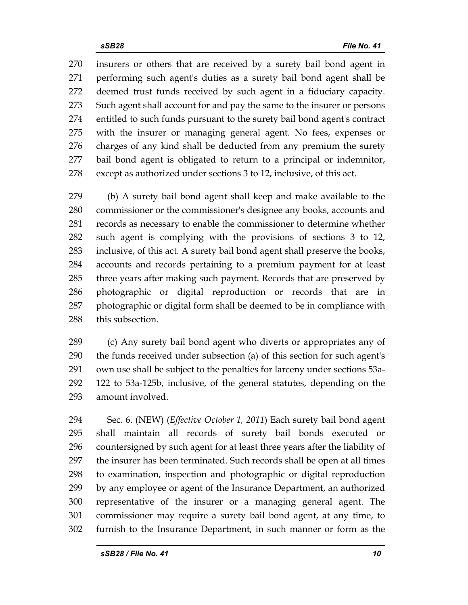270 insurers or others that are received by a surety bail bond agent in 271 performing such agent's duties as a surety bail bond agent shall be 272 deemed trust funds received by such agent in a fiduciary capacity. 273 Such agent shall account for and pay the same to the insurer or persons 274 entitled to such funds pursuant to the surety bail bond agent's contract 275 with the insurer or managing general agent. No fees, expenses or 276 charges of any kind shall be deducted from any premium the surety 277 bail bond agent is obligated to return to a principal or indemnitor, 278 except as authorized under sections 3 to 12, inclusive, of this act.

279 (b) A surety bail bond agent shall keep and make available to the 280 commissioner or the commissioner's designee any books, accounts and 281 records as necessary to enable the commissioner to determine whether 282 such agent is complying with the provisions of sections 3 to 12, 283 inclusive, of this act. A surety bail bond agent shall preserve the books, 284 accounts and records pertaining to a premium payment for at least 285 three years after making such payment. Records that are preserved by 286 photographic or digital reproduction or records that are in 287 photographic or digital form shall be deemed to be in compliance with 288 this subsection.

289 (c) Any surety bail bond agent who diverts or appropriates any of 290 the funds received under subsection (a) of this section for such agent's 291 own use shall be subject to the penalties for larceny under sections 53a-292 122 to 53a-125b, inclusive, of the general statutes, depending on the 293 amount involved.

294 Sec. 6. (NEW) (*Effective October 1, 2011*) Each surety bail bond agent 295 shall maintain all records of surety bail bonds executed or 296 countersigned by such agent for at least three years after the liability of 297 the insurer has been terminated. Such records shall be open at all times 298 to examination, inspection and photographic or digital reproduction 299 by any employee or agent of the Insurance Department, an authorized 300 representative of the insurer or a managing general agent. The 301 commissioner may require a surety bail bond agent, at any time, to 302 furnish to the Insurance Department, in such manner or form as the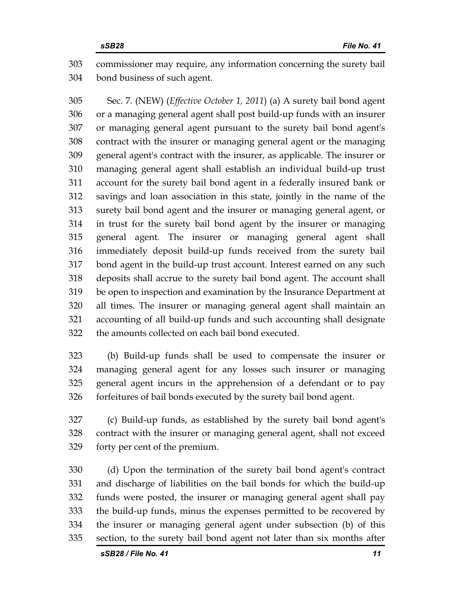303 commissioner may require, any information concerning the surety bail 304 bond business of such agent.

305 Sec. 7. (NEW) (*Effective October 1, 2011*) (a) A surety bail bond agent 306 or a managing general agent shall post build-up funds with an insurer 307 or managing general agent pursuant to the surety bail bond agent's 308 contract with the insurer or managing general agent or the managing 309 general agent's contract with the insurer, as applicable. The insurer or 310 managing general agent shall establish an individual build-up trust 311 account for the surety bail bond agent in a federally insured bank or 312 savings and loan association in this state, jointly in the name of the 313 surety bail bond agent and the insurer or managing general agent, or 314 in trust for the surety bail bond agent by the insurer or managing 315 general agent. The insurer or managing general agent shall 316 immediately deposit build-up funds received from the surety bail 317 bond agent in the build-up trust account. Interest earned on any such 318 deposits shall accrue to the surety bail bond agent. The account shall 319 be open to inspection and examination by the Insurance Department at 320 all times. The insurer or managing general agent shall maintain an 321 accounting of all build-up funds and such accounting shall designate 322 the amounts collected on each bail bond executed.

323 (b) Build-up funds shall be used to compensate the insurer or 324 managing general agent for any losses such insurer or managing 325 general agent incurs in the apprehension of a defendant or to pay 326 forfeitures of bail bonds executed by the surety bail bond agent.

327 (c) Build-up funds, as established by the surety bail bond agent's 328 contract with the insurer or managing general agent, shall not exceed 329 forty per cent of the premium.

330 (d) Upon the termination of the surety bail bond agent's contract 331 and discharge of liabilities on the bail bonds for which the build-up 332 funds were posted, the insurer or managing general agent shall pay 333 the build-up funds, minus the expenses permitted to be recovered by 334 the insurer or managing general agent under subsection (b) of this 335 section, to the surety bail bond agent not later than six months after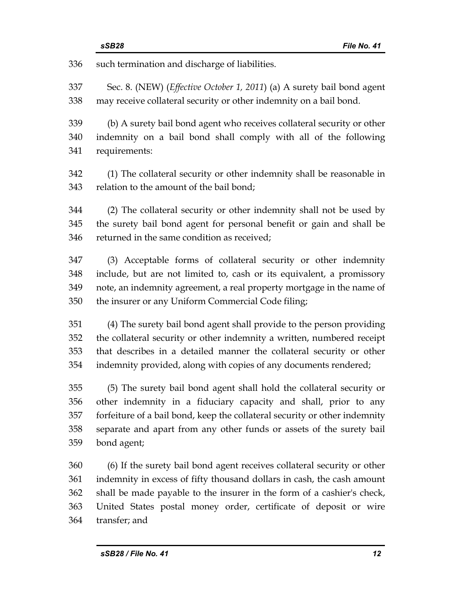336 such termination and discharge of liabilities.

337 Sec. 8. (NEW) (*Effective October 1, 2011*) (a) A surety bail bond agent 338 may receive collateral security or other indemnity on a bail bond.

339 (b) A surety bail bond agent who receives collateral security or other 340 indemnity on a bail bond shall comply with all of the following 341 requirements:

342 (1) The collateral security or other indemnity shall be reasonable in 343 relation to the amount of the bail bond;

344 (2) The collateral security or other indemnity shall not be used by 345 the surety bail bond agent for personal benefit or gain and shall be 346 returned in the same condition as received;

347 (3) Acceptable forms of collateral security or other indemnity 348 include, but are not limited to, cash or its equivalent, a promissory 349 note, an indemnity agreement, a real property mortgage in the name of 350 the insurer or any Uniform Commercial Code filing;

351 (4) The surety bail bond agent shall provide to the person providing 352 the collateral security or other indemnity a written, numbered receipt 353 that describes in a detailed manner the collateral security or other 354 indemnity provided, along with copies of any documents rendered;

355 (5) The surety bail bond agent shall hold the collateral security or 356 other indemnity in a fiduciary capacity and shall, prior to any 357 forfeiture of a bail bond, keep the collateral security or other indemnity 358 separate and apart from any other funds or assets of the surety bail 359 bond agent;

360 (6) If the surety bail bond agent receives collateral security or other 361 indemnity in excess of fifty thousand dollars in cash, the cash amount 362 shall be made payable to the insurer in the form of a cashier's check, 363 United States postal money order, certificate of deposit or wire 364 transfer; and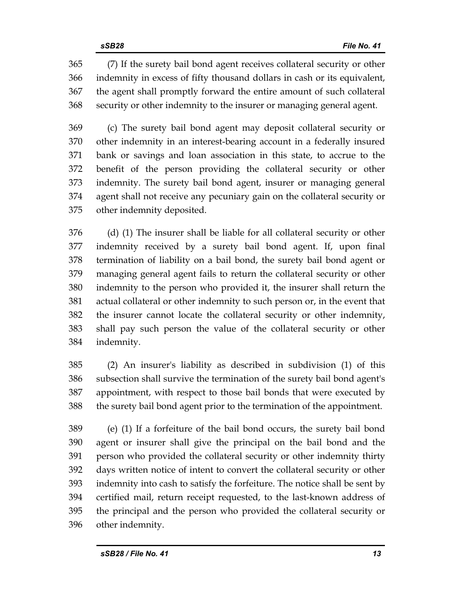365 (7) If the surety bail bond agent receives collateral security or other 366 indemnity in excess of fifty thousand dollars in cash or its equivalent, 367 the agent shall promptly forward the entire amount of such collateral 368 security or other indemnity to the insurer or managing general agent.

369 (c) The surety bail bond agent may deposit collateral security or 370 other indemnity in an interest-bearing account in a federally insured 371 bank or savings and loan association in this state, to accrue to the 372 benefit of the person providing the collateral security or other 373 indemnity. The surety bail bond agent, insurer or managing general 374 agent shall not receive any pecuniary gain on the collateral security or 375 other indemnity deposited.

376 (d) (1) The insurer shall be liable for all collateral security or other 377 indemnity received by a surety bail bond agent. If, upon final 378 termination of liability on a bail bond, the surety bail bond agent or 379 managing general agent fails to return the collateral security or other 380 indemnity to the person who provided it, the insurer shall return the 381 actual collateral or other indemnity to such person or, in the event that 382 the insurer cannot locate the collateral security or other indemnity, 383 shall pay such person the value of the collateral security or other 384 indemnity.

385 (2) An insurer's liability as described in subdivision (1) of this 386 subsection shall survive the termination of the surety bail bond agent's 387 appointment, with respect to those bail bonds that were executed by 388 the surety bail bond agent prior to the termination of the appointment.

389 (e) (1) If a forfeiture of the bail bond occurs, the surety bail bond 390 agent or insurer shall give the principal on the bail bond and the 391 person who provided the collateral security or other indemnity thirty 392 days written notice of intent to convert the collateral security or other 393 indemnity into cash to satisfy the forfeiture. The notice shall be sent by 394 certified mail, return receipt requested, to the last-known address of 395 the principal and the person who provided the collateral security or 396 other indemnity.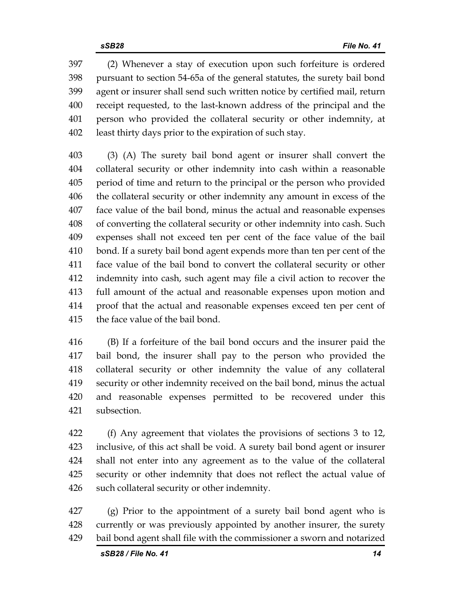397 (2) Whenever a stay of execution upon such forfeiture is ordered 398 pursuant to section 54-65a of the general statutes, the surety bail bond 399 agent or insurer shall send such written notice by certified mail, return 400 receipt requested, to the last-known address of the principal and the 401 person who provided the collateral security or other indemnity, at 402 least thirty days prior to the expiration of such stay.

403 (3) (A) The surety bail bond agent or insurer shall convert the 404 collateral security or other indemnity into cash within a reasonable 405 period of time and return to the principal or the person who provided 406 the collateral security or other indemnity any amount in excess of the 407 face value of the bail bond, minus the actual and reasonable expenses 408 of converting the collateral security or other indemnity into cash. Such 409 expenses shall not exceed ten per cent of the face value of the bail 410 bond. If a surety bail bond agent expends more than ten per cent of the 411 face value of the bail bond to convert the collateral security or other 412 indemnity into cash, such agent may file a civil action to recover the 413 full amount of the actual and reasonable expenses upon motion and 414 proof that the actual and reasonable expenses exceed ten per cent of 415 the face value of the bail bond.

416 (B) If a forfeiture of the bail bond occurs and the insurer paid the 417 bail bond, the insurer shall pay to the person who provided the 418 collateral security or other indemnity the value of any collateral 419 security or other indemnity received on the bail bond, minus the actual 420 and reasonable expenses permitted to be recovered under this 421 subsection.

422 (f) Any agreement that violates the provisions of sections 3 to 12, 423 inclusive, of this act shall be void. A surety bail bond agent or insurer 424 shall not enter into any agreement as to the value of the collateral 425 security or other indemnity that does not reflect the actual value of 426 such collateral security or other indemnity.

427 (g) Prior to the appointment of a surety bail bond agent who is 428 currently or was previously appointed by another insurer, the surety 429 bail bond agent shall file with the commissioner a sworn and notarized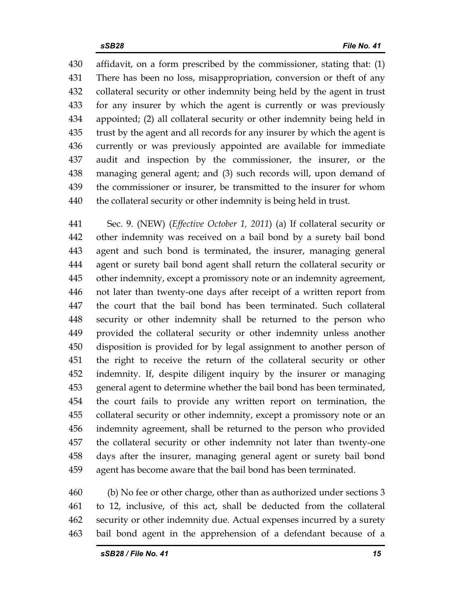430 affidavit, on a form prescribed by the commissioner, stating that: (1) 431 There has been no loss, misappropriation, conversion or theft of any 432 collateral security or other indemnity being held by the agent in trust 433 for any insurer by which the agent is currently or was previously 434 appointed; (2) all collateral security or other indemnity being held in 435 trust by the agent and all records for any insurer by which the agent is 436 currently or was previously appointed are available for immediate 437 audit and inspection by the commissioner, the insurer, or the 438 managing general agent; and (3) such records will, upon demand of 439 the commissioner or insurer, be transmitted to the insurer for whom 440 the collateral security or other indemnity is being held in trust.

441 Sec. 9. (NEW) (*Effective October 1, 2011*) (a) If collateral security or 442 other indemnity was received on a bail bond by a surety bail bond 443 agent and such bond is terminated, the insurer, managing general 444 agent or surety bail bond agent shall return the collateral security or 445 other indemnity, except a promissory note or an indemnity agreement, 446 not later than twenty-one days after receipt of a written report from 447 the court that the bail bond has been terminated. Such collateral 448 security or other indemnity shall be returned to the person who 449 provided the collateral security or other indemnity unless another 450 disposition is provided for by legal assignment to another person of 451 the right to receive the return of the collateral security or other 452 indemnity. If, despite diligent inquiry by the insurer or managing 453 general agent to determine whether the bail bond has been terminated, 454 the court fails to provide any written report on termination, the 455 collateral security or other indemnity, except a promissory note or an 456 indemnity agreement, shall be returned to the person who provided 457 the collateral security or other indemnity not later than twenty-one 458 days after the insurer, managing general agent or surety bail bond 459 agent has become aware that the bail bond has been terminated.

460 (b) No fee or other charge, other than as authorized under sections 3 461 to 12, inclusive, of this act, shall be deducted from the collateral 462 security or other indemnity due. Actual expenses incurred by a surety 463 bail bond agent in the apprehension of a defendant because of a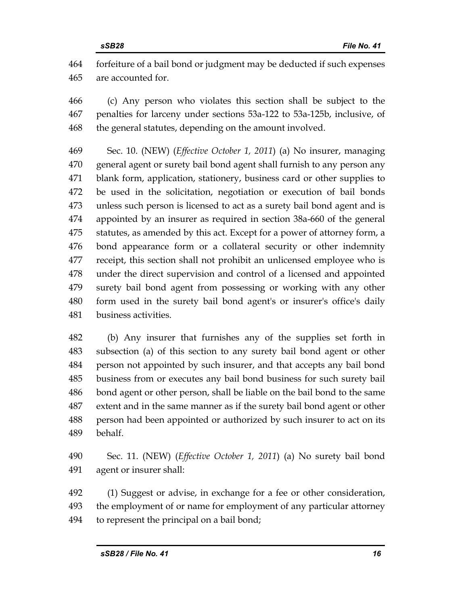464 forfeiture of a bail bond or judgment may be deducted if such expenses 465 are accounted for.

466 (c) Any person who violates this section shall be subject to the 467 penalties for larceny under sections 53a-122 to 53a-125b, inclusive, of 468 the general statutes, depending on the amount involved.

469 Sec. 10. (NEW) (*Effective October 1, 2011*) (a) No insurer, managing 470 general agent or surety bail bond agent shall furnish to any person any 471 blank form, application, stationery, business card or other supplies to 472 be used in the solicitation, negotiation or execution of bail bonds 473 unless such person is licensed to act as a surety bail bond agent and is 474 appointed by an insurer as required in section 38a-660 of the general 475 statutes, as amended by this act. Except for a power of attorney form, a 476 bond appearance form or a collateral security or other indemnity 477 receipt, this section shall not prohibit an unlicensed employee who is 478 under the direct supervision and control of a licensed and appointed 479 surety bail bond agent from possessing or working with any other 480 form used in the surety bail bond agent's or insurer's office's daily 481 business activities.

482 (b) Any insurer that furnishes any of the supplies set forth in 483 subsection (a) of this section to any surety bail bond agent or other 484 person not appointed by such insurer, and that accepts any bail bond 485 business from or executes any bail bond business for such surety bail 486 bond agent or other person, shall be liable on the bail bond to the same 487 extent and in the same manner as if the surety bail bond agent or other 488 person had been appointed or authorized by such insurer to act on its 489 behalf.

490 Sec. 11. (NEW) (*Effective October 1, 2011*) (a) No surety bail bond 491 agent or insurer shall:

492 (1) Suggest or advise, in exchange for a fee or other consideration, 493 the employment of or name for employment of any particular attorney 494 to represent the principal on a bail bond;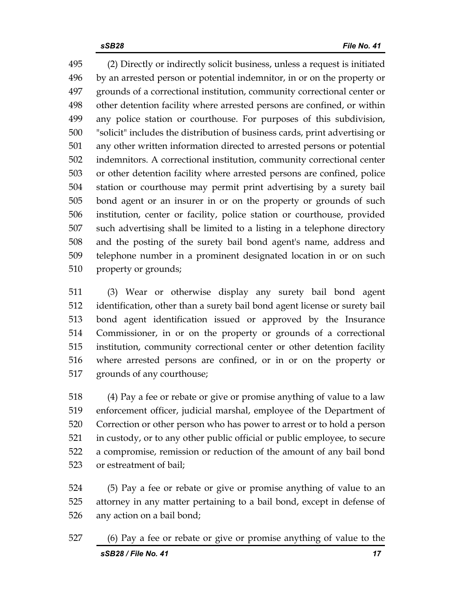495 (2) Directly or indirectly solicit business, unless a request is initiated 496 by an arrested person or potential indemnitor, in or on the property or 497 grounds of a correctional institution, community correctional center or 498 other detention facility where arrested persons are confined, or within 499 any police station or courthouse. For purposes of this subdivision, 500 "solicit" includes the distribution of business cards, print advertising or 501 any other written information directed to arrested persons or potential 502 indemnitors. A correctional institution, community correctional center 503 or other detention facility where arrested persons are confined, police 504 station or courthouse may permit print advertising by a surety bail 505 bond agent or an insurer in or on the property or grounds of such 506 institution, center or facility, police station or courthouse, provided 507 such advertising shall be limited to a listing in a telephone directory 508 and the posting of the surety bail bond agent's name, address and 509 telephone number in a prominent designated location in or on such 510 property or grounds;

511 (3) Wear or otherwise display any surety bail bond agent 512 identification, other than a surety bail bond agent license or surety bail 513 bond agent identification issued or approved by the Insurance 514 Commissioner, in or on the property or grounds of a correctional 515 institution, community correctional center or other detention facility 516 where arrested persons are confined, or in or on the property or 517 grounds of any courthouse;

518 (4) Pay a fee or rebate or give or promise anything of value to a law 519 enforcement officer, judicial marshal, employee of the Department of 520 Correction or other person who has power to arrest or to hold a person 521 in custody, or to any other public official or public employee, to secure 522 a compromise, remission or reduction of the amount of any bail bond 523 or estreatment of bail;

524 (5) Pay a fee or rebate or give or promise anything of value to an 525 attorney in any matter pertaining to a bail bond, except in defense of 526 any action on a bail bond;

*sSB28 / File No. 41 17* 527 (6) Pay a fee or rebate or give or promise anything of value to the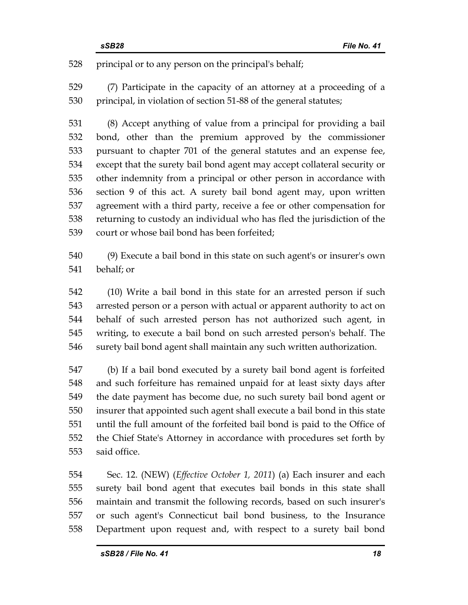528 principal or to any person on the principal's behalf;

529 (7) Participate in the capacity of an attorney at a proceeding of a 530 principal, in violation of section 51-88 of the general statutes;

531 (8) Accept anything of value from a principal for providing a bail 532 bond, other than the premium approved by the commissioner 533 pursuant to chapter 701 of the general statutes and an expense fee, 534 except that the surety bail bond agent may accept collateral security or 535 other indemnity from a principal or other person in accordance with 536 section 9 of this act. A surety bail bond agent may, upon written 537 agreement with a third party, receive a fee or other compensation for 538 returning to custody an individual who has fled the jurisdiction of the 539 court or whose bail bond has been forfeited;

540 (9) Execute a bail bond in this state on such agent's or insurer's own 541 behalf; or

542 (10) Write a bail bond in this state for an arrested person if such 543 arrested person or a person with actual or apparent authority to act on 544 behalf of such arrested person has not authorized such agent, in 545 writing, to execute a bail bond on such arrested person's behalf. The 546 surety bail bond agent shall maintain any such written authorization.

547 (b) If a bail bond executed by a surety bail bond agent is forfeited 548 and such forfeiture has remained unpaid for at least sixty days after 549 the date payment has become due, no such surety bail bond agent or 550 insurer that appointed such agent shall execute a bail bond in this state 551 until the full amount of the forfeited bail bond is paid to the Office of 552 the Chief State's Attorney in accordance with procedures set forth by 553 said office.

554 Sec. 12. (NEW) (*Effective October 1, 2011*) (a) Each insurer and each 555 surety bail bond agent that executes bail bonds in this state shall 556 maintain and transmit the following records, based on such insurer's 557 or such agent's Connecticut bail bond business, to the Insurance 558 Department upon request and, with respect to a surety bail bond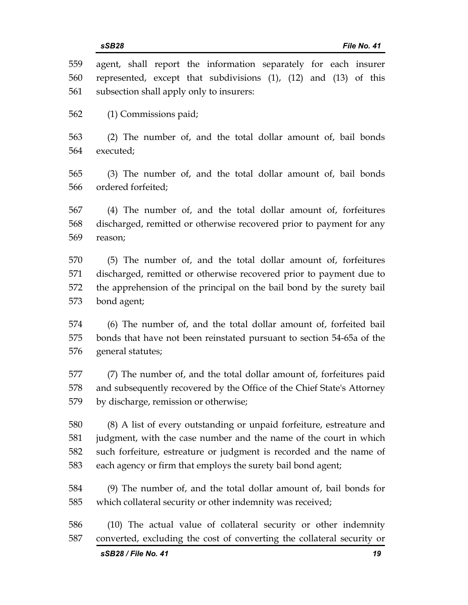| 559        | agent, shall report the information separately for each insurer                                                                                                        |
|------------|------------------------------------------------------------------------------------------------------------------------------------------------------------------------|
| 560        | represented, except that subdivisions $(1)$ , $(12)$ and $(13)$ of this                                                                                                |
| 561        | subsection shall apply only to insurers:                                                                                                                               |
| 562        | (1) Commissions paid;                                                                                                                                                  |
| 563        | (2) The number of, and the total dollar amount of, bail bonds                                                                                                          |
| 564        | executed;                                                                                                                                                              |
| 565        | (3) The number of, and the total dollar amount of, bail bonds                                                                                                          |
| 566        | ordered forfeited;                                                                                                                                                     |
| 567        | (4) The number of, and the total dollar amount of, forfeitures                                                                                                         |
| 568        | discharged, remitted or otherwise recovered prior to payment for any                                                                                                   |
| 569        | reason;                                                                                                                                                                |
| 570        | (5) The number of, and the total dollar amount of, forfeitures                                                                                                         |
| 571        | discharged, remitted or otherwise recovered prior to payment due to                                                                                                    |
| 572        | the apprehension of the principal on the bail bond by the surety bail                                                                                                  |
| 573        | bond agent;                                                                                                                                                            |
| 574        | (6) The number of, and the total dollar amount of, forfeited bail                                                                                                      |
| 575        | bonds that have not been reinstated pursuant to section 54-65a of the                                                                                                  |
| 576        | general statutes;                                                                                                                                                      |
| 577        | (7) The number of, and the total dollar amount of, forfeitures paid                                                                                                    |
| 578        | and subsequently recovered by the Office of the Chief State's Attorney                                                                                                 |
| 579        | by discharge, remission or otherwise;                                                                                                                                  |
| 580        | (8) A list of every outstanding or unpaid forfeiture, estreature and                                                                                                   |
| 581        | judgment, with the case number and the name of the court in which                                                                                                      |
| 582        | such forfeiture, estreature or judgment is recorded and the name of                                                                                                    |
| 583        | each agency or firm that employs the surety bail bond agent;                                                                                                           |
| 584        | (9) The number of, and the total dollar amount of, bail bonds for                                                                                                      |
| 585        | which collateral security or other indemnity was received;                                                                                                             |
| 586<br>587 | (10) The actual value of collateral security or other indemnity<br>converted, excluding the cost of converting the collateral security or<br>sSB28 / File No. 41<br>19 |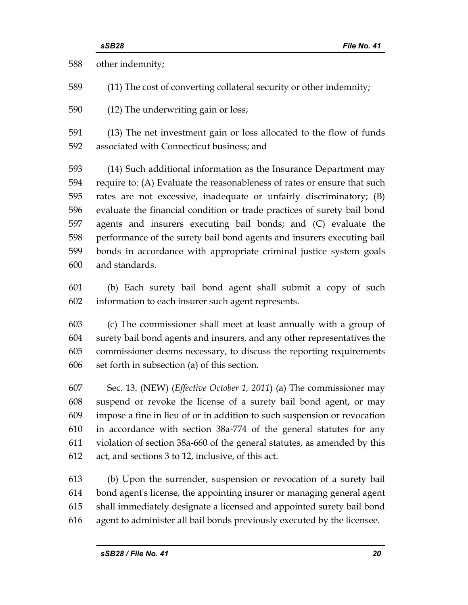588 other indemnity;

589 (11) The cost of converting collateral security or other indemnity;

590 (12) The underwriting gain or loss;

591 (13) The net investment gain or loss allocated to the flow of funds 592 associated with Connecticut business; and

593 (14) Such additional information as the Insurance Department may 594 require to: (A) Evaluate the reasonableness of rates or ensure that such 595 rates are not excessive, inadequate or unfairly discriminatory; (B) 596 evaluate the financial condition or trade practices of surety bail bond 597 agents and insurers executing bail bonds; and (C) evaluate the 598 performance of the surety bail bond agents and insurers executing bail 599 bonds in accordance with appropriate criminal justice system goals 600 and standards.

601 (b) Each surety bail bond agent shall submit a copy of such 602 information to each insurer such agent represents.

603 (c) The commissioner shall meet at least annually with a group of 604 surety bail bond agents and insurers, and any other representatives the 605 commissioner deems necessary, to discuss the reporting requirements 606 set forth in subsection (a) of this section.

607 Sec. 13. (NEW) (*Effective October 1, 2011*) (a) The commissioner may 608 suspend or revoke the license of a surety bail bond agent, or may 609 impose a fine in lieu of or in addition to such suspension or revocation 610 in accordance with section 38a-774 of the general statutes for any 611 violation of section 38a-660 of the general statutes, as amended by this 612 act, and sections 3 to 12, inclusive, of this act.

613 (b) Upon the surrender, suspension or revocation of a surety bail 614 bond agent's license, the appointing insurer or managing general agent 615 shall immediately designate a licensed and appointed surety bail bond 616 agent to administer all bail bonds previously executed by the licensee.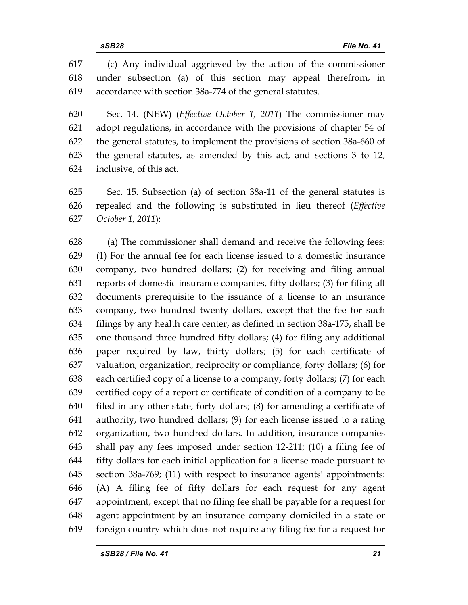617 (c) Any individual aggrieved by the action of the commissioner 618 under subsection (a) of this section may appeal therefrom, in 619 accordance with section 38a-774 of the general statutes.

620 Sec. 14. (NEW) (*Effective October 1, 2011*) The commissioner may 621 adopt regulations, in accordance with the provisions of chapter 54 of 622 the general statutes, to implement the provisions of section 38a-660 of 623 the general statutes, as amended by this act, and sections 3 to 12, 624 inclusive, of this act.

625 Sec. 15. Subsection (a) of section 38a-11 of the general statutes is 626 repealed and the following is substituted in lieu thereof (*Effective*  627 *October 1, 2011*):

628 (a) The commissioner shall demand and receive the following fees: 629 (1) For the annual fee for each license issued to a domestic insurance 630 company, two hundred dollars; (2) for receiving and filing annual 631 reports of domestic insurance companies, fifty dollars; (3) for filing all 632 documents prerequisite to the issuance of a license to an insurance 633 company, two hundred twenty dollars, except that the fee for such 634 filings by any health care center, as defined in section 38a-175, shall be 635 one thousand three hundred fifty dollars; (4) for filing any additional 636 paper required by law, thirty dollars; (5) for each certificate of 637 valuation, organization, reciprocity or compliance, forty dollars; (6) for 638 each certified copy of a license to a company, forty dollars; (7) for each 639 certified copy of a report or certificate of condition of a company to be 640 filed in any other state, forty dollars; (8) for amending a certificate of 641 authority, two hundred dollars; (9) for each license issued to a rating 642 organization, two hundred dollars. In addition, insurance companies 643 shall pay any fees imposed under section 12-211; (10) a filing fee of 644 fifty dollars for each initial application for a license made pursuant to 645 section 38a-769; (11) with respect to insurance agents' appointments: 646 (A) A filing fee of fifty dollars for each request for any agent 647 appointment, except that no filing fee shall be payable for a request for 648 agent appointment by an insurance company domiciled in a state or 649 foreign country which does not require any filing fee for a request for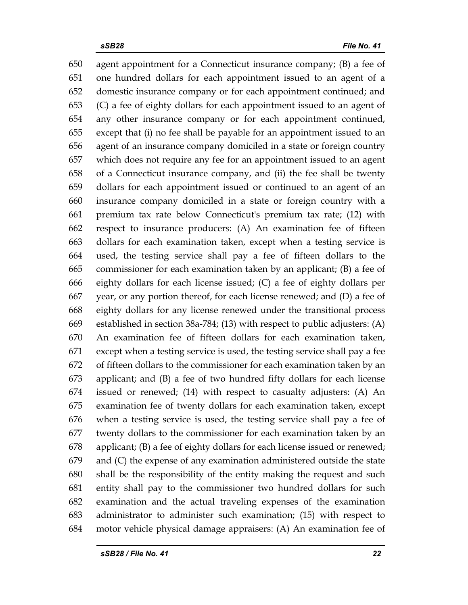650 agent appointment for a Connecticut insurance company; (B) a fee of 651 one hundred dollars for each appointment issued to an agent of a 652 domestic insurance company or for each appointment continued; and 653 (C) a fee of eighty dollars for each appointment issued to an agent of 654 any other insurance company or for each appointment continued, 655 except that (i) no fee shall be payable for an appointment issued to an 656 agent of an insurance company domiciled in a state or foreign country 657 which does not require any fee for an appointment issued to an agent 658 of a Connecticut insurance company, and (ii) the fee shall be twenty 659 dollars for each appointment issued or continued to an agent of an 660 insurance company domiciled in a state or foreign country with a 661 premium tax rate below Connecticut's premium tax rate; (12) with 662 respect to insurance producers: (A) An examination fee of fifteen 663 dollars for each examination taken, except when a testing service is 664 used, the testing service shall pay a fee of fifteen dollars to the 665 commissioner for each examination taken by an applicant; (B) a fee of 666 eighty dollars for each license issued; (C) a fee of eighty dollars per 667 year, or any portion thereof, for each license renewed; and (D) a fee of 668 eighty dollars for any license renewed under the transitional process 669 established in section 38a-784; (13) with respect to public adjusters: (A) 670 An examination fee of fifteen dollars for each examination taken, 671 except when a testing service is used, the testing service shall pay a fee 672 of fifteen dollars to the commissioner for each examination taken by an 673 applicant; and (B) a fee of two hundred fifty dollars for each license 674 issued or renewed; (14) with respect to casualty adjusters: (A) An 675 examination fee of twenty dollars for each examination taken, except 676 when a testing service is used, the testing service shall pay a fee of 677 twenty dollars to the commissioner for each examination taken by an 678 applicant; (B) a fee of eighty dollars for each license issued or renewed; 679 and (C) the expense of any examination administered outside the state 680 shall be the responsibility of the entity making the request and such 681 entity shall pay to the commissioner two hundred dollars for such 682 examination and the actual traveling expenses of the examination 683 administrator to administer such examination; (15) with respect to 684 motor vehicle physical damage appraisers: (A) An examination fee of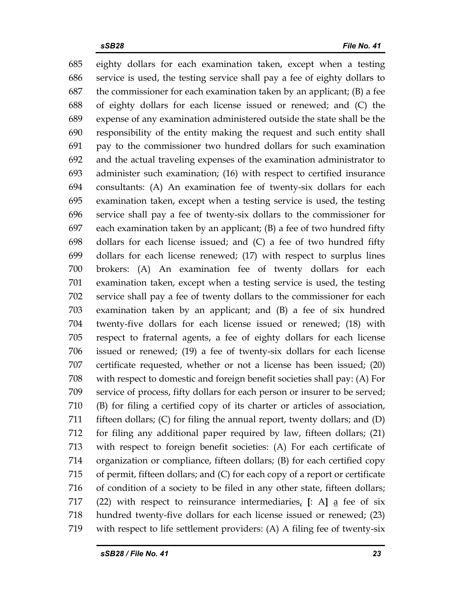685 eighty dollars for each examination taken, except when a testing 686 service is used, the testing service shall pay a fee of eighty dollars to 687 the commissioner for each examination taken by an applicant; (B) a fee 688 of eighty dollars for each license issued or renewed; and (C) the 689 expense of any examination administered outside the state shall be the 690 responsibility of the entity making the request and such entity shall 691 pay to the commissioner two hundred dollars for such examination 692 and the actual traveling expenses of the examination administrator to 693 administer such examination; (16) with respect to certified insurance 694 consultants: (A) An examination fee of twenty-six dollars for each 695 examination taken, except when a testing service is used, the testing 696 service shall pay a fee of twenty-six dollars to the commissioner for 697 each examination taken by an applicant; (B) a fee of two hundred fifty 698 dollars for each license issued; and (C) a fee of two hundred fifty 699 dollars for each license renewed; (17) with respect to surplus lines 700 brokers: (A) An examination fee of twenty dollars for each 701 examination taken, except when a testing service is used, the testing 702 service shall pay a fee of twenty dollars to the commissioner for each 703 examination taken by an applicant; and (B) a fee of six hundred 704 twenty-five dollars for each license issued or renewed; (18) with 705 respect to fraternal agents, a fee of eighty dollars for each license 706 issued or renewed; (19) a fee of twenty-six dollars for each license 707 certificate requested, whether or not a license has been issued; (20) 708 with respect to domestic and foreign benefit societies shall pay: (A) For 709 service of process, fifty dollars for each person or insurer to be served; 710 (B) for filing a certified copy of its charter or articles of association, 711 fifteen dollars; (C) for filing the annual report, twenty dollars; and (D) 712 for filing any additional paper required by law, fifteen dollars; (21) 713 with respect to foreign benefit societies: (A) For each certificate of 714 organization or compliance, fifteen dollars; (B) for each certified copy 715 of permit, fifteen dollars; and (C) for each copy of a report or certificate 716 of condition of a society to be filed in any other state, fifteen dollars; 717 (22) with respect to reinsurance intermediaries, **[**: A**]** a fee of six 718 hundred twenty-five dollars for each license issued or renewed; (23) 719 with respect to life settlement providers: (A) A filing fee of twenty-six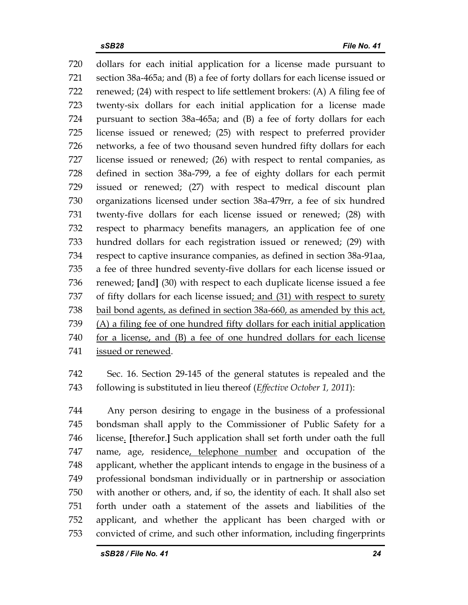720 dollars for each initial application for a license made pursuant to 721 section 38a-465a; and (B) a fee of forty dollars for each license issued or 722 renewed; (24) with respect to life settlement brokers: (A) A filing fee of 723 twenty-six dollars for each initial application for a license made 724 pursuant to section 38a-465a; and (B) a fee of forty dollars for each 725 license issued or renewed; (25) with respect to preferred provider 726 networks, a fee of two thousand seven hundred fifty dollars for each 727 license issued or renewed; (26) with respect to rental companies, as 728 defined in section 38a-799, a fee of eighty dollars for each permit 729 issued or renewed; (27) with respect to medical discount plan 730 organizations licensed under section 38a-479rr, a fee of six hundred 731 twenty-five dollars for each license issued or renewed; (28) with 732 respect to pharmacy benefits managers, an application fee of one 733 hundred dollars for each registration issued or renewed; (29) with 734 respect to captive insurance companies, as defined in section 38a-91aa, 735 a fee of three hundred seventy-five dollars for each license issued or 736 renewed; **[**and**]** (30) with respect to each duplicate license issued a fee 737 of fifty dollars for each license issued; and (31) with respect to surety 738 bail bond agents, as defined in section 38a-660, as amended by this act, 739 (A) a filing fee of one hundred fifty dollars for each initial application 740 for a license, and (B) a fee of one hundred dollars for each license 741 issued or renewed.

742 Sec. 16. Section 29-145 of the general statutes is repealed and the 743 following is substituted in lieu thereof (*Effective October 1, 2011*):

744 Any person desiring to engage in the business of a professional 745 bondsman shall apply to the Commissioner of Public Safety for a 746 license. **[**therefor.**]** Such application shall set forth under oath the full 747 name, age, residence, telephone number and occupation of the 748 applicant, whether the applicant intends to engage in the business of a 749 professional bondsman individually or in partnership or association 750 with another or others, and, if so, the identity of each. It shall also set 751 forth under oath a statement of the assets and liabilities of the 752 applicant, and whether the applicant has been charged with or 753 convicted of crime, and such other information, including fingerprints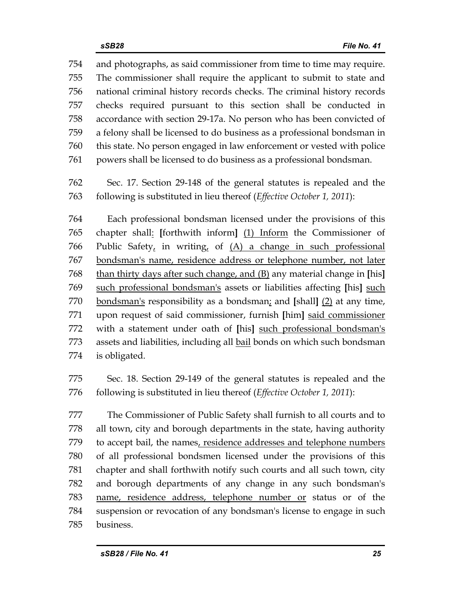754 and photographs, as said commissioner from time to time may require. 755 The commissioner shall require the applicant to submit to state and 756 national criminal history records checks. The criminal history records 757 checks required pursuant to this section shall be conducted in 758 accordance with section 29-17a. No person who has been convicted of 759 a felony shall be licensed to do business as a professional bondsman in 760 this state. No person engaged in law enforcement or vested with police 761 powers shall be licensed to do business as a professional bondsman.

762 Sec. 17. Section 29-148 of the general statutes is repealed and the 763 following is substituted in lieu thereof (*Effective October 1, 2011*):

764 Each professional bondsman licensed under the provisions of this 765 chapter shall: **[**forthwith inform**]** (1) Inform the Commissioner of 766 Public Safety, in writing, of  $(A)$  a change in such professional 767 bondsman's name, residence address or telephone number, not later 768 than thirty days after such change, and (B) any material change in **[**his**]** 769 such professional bondsman's assets or liabilities affecting **[**his**]** such 770 bondsman's responsibility as a bondsman; and **[**shall**]** (2) at any time, 771 upon request of said commissioner, furnish **[**him**]** said commissioner 772 with a statement under oath of **[**his**]** such professional bondsman's 773 assets and liabilities, including all bail bonds on which such bondsman 774 is obligated.

775 Sec. 18. Section 29-149 of the general statutes is repealed and the 776 following is substituted in lieu thereof (*Effective October 1, 2011*):

777 The Commissioner of Public Safety shall furnish to all courts and to 778 all town, city and borough departments in the state, having authority 779 to accept bail, the names, residence addresses and telephone numbers 780 of all professional bondsmen licensed under the provisions of this 781 chapter and shall forthwith notify such courts and all such town, city 782 and borough departments of any change in any such bondsman's 783 name, residence address, telephone number or status or of the 784 suspension or revocation of any bondsman's license to engage in such 785 business.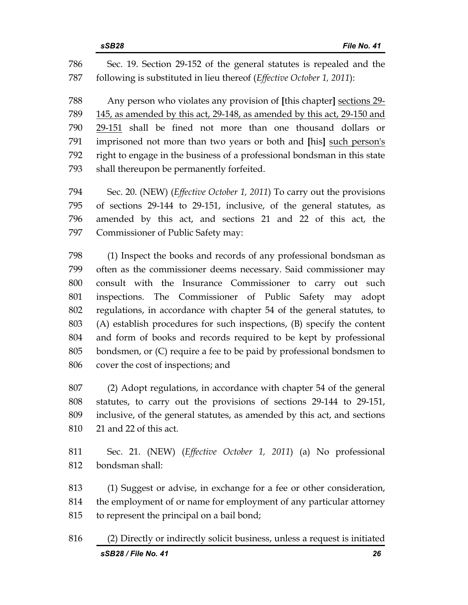786 Sec. 19. Section 29-152 of the general statutes is repealed and the 787 following is substituted in lieu thereof (*Effective October 1, 2011*):

788 Any person who violates any provision of **[**this chapter**]** sections 29- 789 145, as amended by this act, 29-148, as amended by this act, 29-150 and 790 29-151 shall be fined not more than one thousand dollars or 791 imprisoned not more than two years or both and **[**his**]** such person's 792 right to engage in the business of a professional bondsman in this state 793 shall thereupon be permanently forfeited.

794 Sec. 20. (NEW) (*Effective October 1, 2011*) To carry out the provisions 795 of sections 29-144 to 29-151, inclusive, of the general statutes, as 796 amended by this act, and sections 21 and 22 of this act, the 797 Commissioner of Public Safety may:

798 (1) Inspect the books and records of any professional bondsman as 799 often as the commissioner deems necessary. Said commissioner may 800 consult with the Insurance Commissioner to carry out such 801 inspections. The Commissioner of Public Safety may adopt 802 regulations, in accordance with chapter 54 of the general statutes, to 803 (A) establish procedures for such inspections, (B) specify the content 804 and form of books and records required to be kept by professional 805 bondsmen, or (C) require a fee to be paid by professional bondsmen to 806 cover the cost of inspections; and

807 (2) Adopt regulations, in accordance with chapter 54 of the general 808 statutes, to carry out the provisions of sections 29-144 to 29-151, 809 inclusive, of the general statutes, as amended by this act, and sections 810 21 and 22 of this act.

811 Sec. 21. (NEW) (*Effective October 1, 2011*) (a) No professional 812 bondsman shall:

813 (1) Suggest or advise, in exchange for a fee or other consideration, 814 the employment of or name for employment of any particular attorney 815 to represent the principal on a bail bond;

*sSB28 / File No. 41 26* 816 (2) Directly or indirectly solicit business, unless a request is initiated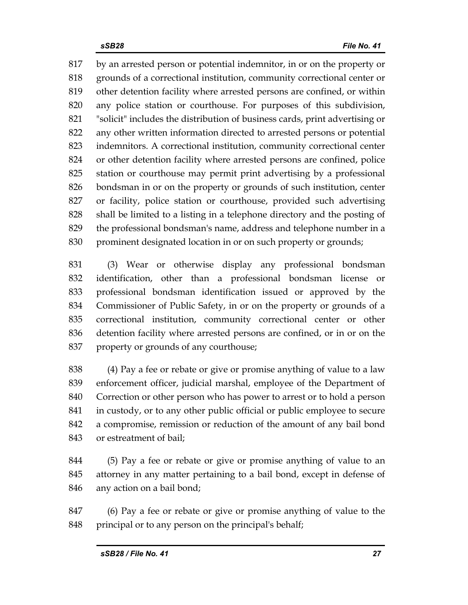817 by an arrested person or potential indemnitor, in or on the property or 818 grounds of a correctional institution, community correctional center or 819 other detention facility where arrested persons are confined, or within 820 any police station or courthouse. For purposes of this subdivision, 821 "solicit" includes the distribution of business cards, print advertising or 822 any other written information directed to arrested persons or potential 823 indemnitors. A correctional institution, community correctional center 824 or other detention facility where arrested persons are confined, police 825 station or courthouse may permit print advertising by a professional 826 bondsman in or on the property or grounds of such institution, center 827 or facility, police station or courthouse, provided such advertising 828 shall be limited to a listing in a telephone directory and the posting of 829 the professional bondsman's name, address and telephone number in a 830 prominent designated location in or on such property or grounds;

831 (3) Wear or otherwise display any professional bondsman 832 identification, other than a professional bondsman license or 833 professional bondsman identification issued or approved by the 834 Commissioner of Public Safety, in or on the property or grounds of a 835 correctional institution, community correctional center or other 836 detention facility where arrested persons are confined, or in or on the 837 property or grounds of any courthouse;

838 (4) Pay a fee or rebate or give or promise anything of value to a law 839 enforcement officer, judicial marshal, employee of the Department of 840 Correction or other person who has power to arrest or to hold a person 841 in custody, or to any other public official or public employee to secure 842 a compromise, remission or reduction of the amount of any bail bond 843 or estreatment of bail;

844 (5) Pay a fee or rebate or give or promise anything of value to an 845 attorney in any matter pertaining to a bail bond, except in defense of 846 any action on a bail bond;

847 (6) Pay a fee or rebate or give or promise anything of value to the 848 principal or to any person on the principal's behalf;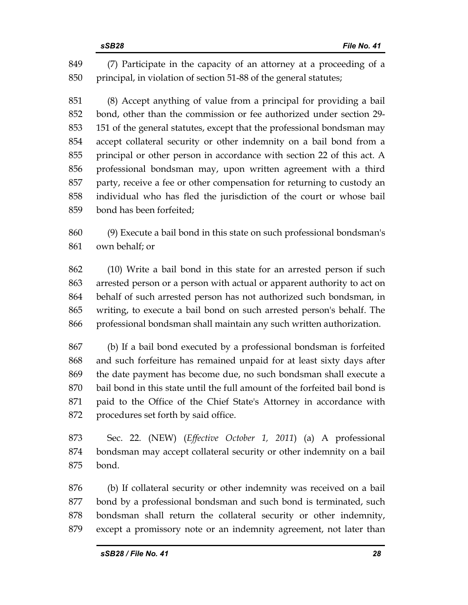849 (7) Participate in the capacity of an attorney at a proceeding of a 850 principal, in violation of section 51-88 of the general statutes;

851 (8) Accept anything of value from a principal for providing a bail 852 bond, other than the commission or fee authorized under section 29- 853 151 of the general statutes, except that the professional bondsman may 854 accept collateral security or other indemnity on a bail bond from a 855 principal or other person in accordance with section 22 of this act. A 856 professional bondsman may, upon written agreement with a third 857 party, receive a fee or other compensation for returning to custody an 858 individual who has fled the jurisdiction of the court or whose bail 859 bond has been forfeited;

860 (9) Execute a bail bond in this state on such professional bondsman's 861 own behalf; or

862 (10) Write a bail bond in this state for an arrested person if such 863 arrested person or a person with actual or apparent authority to act on 864 behalf of such arrested person has not authorized such bondsman, in 865 writing, to execute a bail bond on such arrested person's behalf. The 866 professional bondsman shall maintain any such written authorization.

867 (b) If a bail bond executed by a professional bondsman is forfeited 868 and such forfeiture has remained unpaid for at least sixty days after 869 the date payment has become due, no such bondsman shall execute a 870 bail bond in this state until the full amount of the forfeited bail bond is 871 paid to the Office of the Chief State's Attorney in accordance with 872 procedures set forth by said office.

873 Sec. 22. (NEW) (*Effective October 1, 2011*) (a) A professional 874 bondsman may accept collateral security or other indemnity on a bail 875 bond.

876 (b) If collateral security or other indemnity was received on a bail 877 bond by a professional bondsman and such bond is terminated, such 878 bondsman shall return the collateral security or other indemnity, 879 except a promissory note or an indemnity agreement, not later than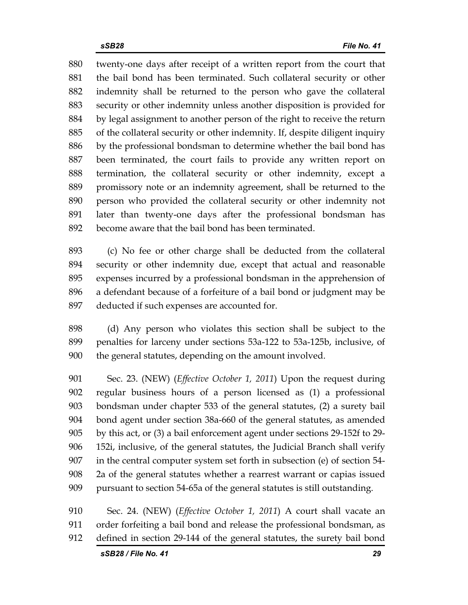880 twenty-one days after receipt of a written report from the court that 881 the bail bond has been terminated. Such collateral security or other 882 indemnity shall be returned to the person who gave the collateral 883 security or other indemnity unless another disposition is provided for 884 by legal assignment to another person of the right to receive the return 885 of the collateral security or other indemnity. If, despite diligent inquiry 886 by the professional bondsman to determine whether the bail bond has 887 been terminated, the court fails to provide any written report on 888 termination, the collateral security or other indemnity, except a 889 promissory note or an indemnity agreement, shall be returned to the 890 person who provided the collateral security or other indemnity not 891 later than twenty-one days after the professional bondsman has 892 become aware that the bail bond has been terminated.

893 (c) No fee or other charge shall be deducted from the collateral 894 security or other indemnity due, except that actual and reasonable 895 expenses incurred by a professional bondsman in the apprehension of 896 a defendant because of a forfeiture of a bail bond or judgment may be 897 deducted if such expenses are accounted for.

898 (d) Any person who violates this section shall be subject to the 899 penalties for larceny under sections 53a-122 to 53a-125b, inclusive, of 900 the general statutes, depending on the amount involved.

901 Sec. 23. (NEW) (*Effective October 1, 2011*) Upon the request during 902 regular business hours of a person licensed as (1) a professional 903 bondsman under chapter 533 of the general statutes, (2) a surety bail 904 bond agent under section 38a-660 of the general statutes, as amended 905 by this act, or (3) a bail enforcement agent under sections 29-152f to 29- 906 152i, inclusive, of the general statutes, the Judicial Branch shall verify 907 in the central computer system set forth in subsection (e) of section 54- 908 2a of the general statutes whether a rearrest warrant or capias issued 909 pursuant to section 54-65a of the general statutes is still outstanding.

910 Sec. 24. (NEW) (*Effective October 1, 2011*) A court shall vacate an 911 order forfeiting a bail bond and release the professional bondsman, as 912 defined in section 29-144 of the general statutes, the surety bail bond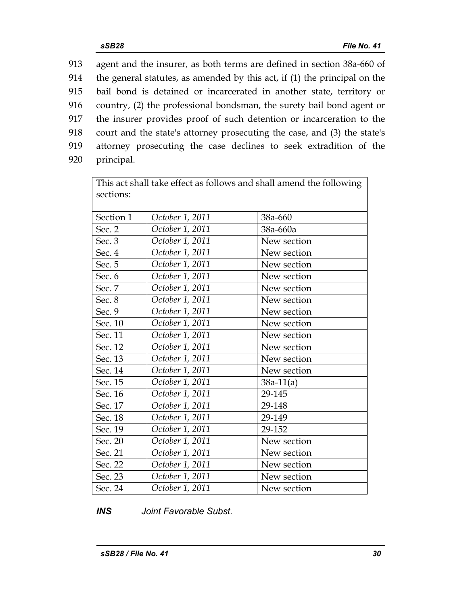913 agent and the insurer, as both terms are defined in section 38a-660 of 914 the general statutes, as amended by this act, if (1) the principal on the 915 bail bond is detained or incarcerated in another state, territory or 916 country, (2) the professional bondsman, the surety bail bond agent or 917 the insurer provides proof of such detention or incarceration to the 918 court and the state's attorney prosecuting the case, and (3) the state's 919 attorney prosecuting the case declines to seek extradition of the 920 principal.

| This act shall take effect as follows and shall amend the following |                 |             |  |  |  |  |  |
|---------------------------------------------------------------------|-----------------|-------------|--|--|--|--|--|
| sections:                                                           |                 |             |  |  |  |  |  |
|                                                                     |                 |             |  |  |  |  |  |
| Section 1                                                           | October 1, 2011 | 38a-660     |  |  |  |  |  |
| Sec. 2                                                              | October 1, 2011 | 38a-660a    |  |  |  |  |  |
| Sec. 3                                                              | October 1, 2011 | New section |  |  |  |  |  |
| Sec. 4                                                              | October 1, 2011 | New section |  |  |  |  |  |
| Sec. 5                                                              | October 1, 2011 | New section |  |  |  |  |  |
| Sec. 6                                                              | October 1, 2011 | New section |  |  |  |  |  |
| Sec. 7                                                              | October 1, 2011 | New section |  |  |  |  |  |
| Sec. 8                                                              | October 1, 2011 | New section |  |  |  |  |  |
| Sec. 9                                                              | October 1, 2011 | New section |  |  |  |  |  |
| Sec. 10                                                             | October 1, 2011 | New section |  |  |  |  |  |
| Sec. 11                                                             | October 1, 2011 | New section |  |  |  |  |  |
| Sec. 12                                                             | October 1, 2011 | New section |  |  |  |  |  |
| Sec. 13                                                             | October 1, 2011 | New section |  |  |  |  |  |
| Sec. 14                                                             | October 1, 2011 | New section |  |  |  |  |  |
| Sec. 15                                                             | October 1, 2011 | $38a-11(a)$ |  |  |  |  |  |
| Sec. 16                                                             | October 1, 2011 | 29-145      |  |  |  |  |  |
| Sec. 17                                                             | October 1, 2011 | 29-148      |  |  |  |  |  |
| Sec. 18                                                             | October 1, 2011 | 29-149      |  |  |  |  |  |
| Sec. 19                                                             | October 1, 2011 | 29-152      |  |  |  |  |  |
| Sec. 20                                                             | October 1, 2011 | New section |  |  |  |  |  |
| Sec. 21                                                             | October 1, 2011 | New section |  |  |  |  |  |
| Sec. 22                                                             | October 1, 2011 | New section |  |  |  |  |  |
| Sec. 23                                                             | October 1, 2011 | New section |  |  |  |  |  |
| Sec. 24                                                             | October 1, 2011 | New section |  |  |  |  |  |

## *INS Joint Favorable Subst.*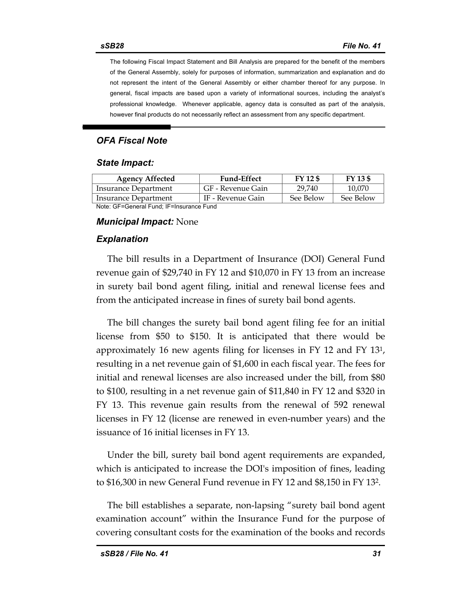The following Fiscal Impact Statement and Bill Analysis are prepared for the benefit of the members of the General Assembly, solely for purposes of information, summarization and explanation and do not represent the intent of the General Assembly or either chamber thereof for any purpose. In general, fiscal impacts are based upon a variety of informational sources, including the analyst's professional knowledge. Whenever applicable, agency data is consulted as part of the analysis, however final products do not necessarily reflect an assessment from any specific department.

## *OFA Fiscal Note*

#### *State Impact:*

| <b>Agency Affected</b>                   | <b>Fund-Effect</b> | FY 12 \$  | FY 13 \$  |  |  |
|------------------------------------------|--------------------|-----------|-----------|--|--|
| Insurance Department                     | GF - Revenue Gain  | 29.740    | 10,070    |  |  |
| Insurance Department                     | IF - Revenue Gain  | See Below | See Below |  |  |
| Note: CE-Conoral Eund: IE-Inouranoo Eund |                    |           |           |  |  |

Note: GF=General Fund; IF=Insurance Fund

#### *Municipal Impact:* None

#### *Explanation*

The bill results in a Department of Insurance (DOI) General Fund revenue gain of \$29,740 in FY 12 and \$10,070 in FY 13 from an increase in surety bail bond agent filing, initial and renewal license fees and from the anticipated increase in fines of surety bail bond agents.

The bill changes the surety bail bond agent filing fee for an initial license from \$50 to \$150. It is anticipated that there would be approximately 16 new agents filing for licenses in FY 12 and FY 131, resulting in a net revenue gain of \$1,600 in each fiscal year. The fees for initial and renewal licenses are also increased under the bill, from \$80 to \$100, resulting in a net revenue gain of \$11,840 in FY 12 and \$320 in FY 13. This revenue gain results from the renewal of 592 renewal licenses in FY 12 (license are renewed in even-number years) and the issuance of 16 initial licenses in FY 13.

Under the bill, surety bail bond agent requirements are expanded, which is anticipated to increase the DOI's imposition of fines, leading to \$16,300 in new General Fund revenue in FY 12 and \$8,150 in FY 132.

The bill establishes a separate, non-lapsing "surety bail bond agent examination account" within the Insurance Fund for the purpose of covering consultant costs for the examination of the books and records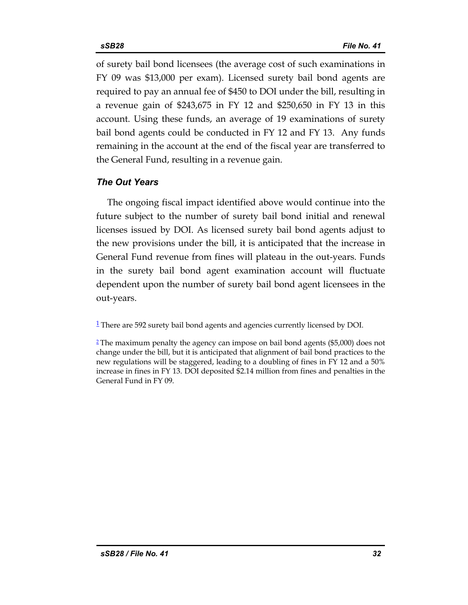of surety bail bond licensees (the average cost of such examinations in FY 09 was \$13,000 per exam). Licensed surety bail bond agents are required to pay an annual fee of \$450 to DOI under the bill, resulting in a revenue gain of \$243,675 in FY 12 and \$250,650 in FY 13 in this account. Using these funds, an average of 19 examinations of surety bail bond agents could be conducted in FY 12 and FY 13. Any funds remaining in the account at the end of the fiscal year are transferred to the General Fund, resulting in a revenue gain.

## *The Out Years*

The ongoing fiscal impact identified above would continue into the future subject to the number of surety bail bond initial and renewal licenses issued by DOI. As licensed surety bail bond agents adjust to the new provisions under the bill, it is anticipated that the increase in General Fund revenue from fines will plateau in the out-years. Funds in the surety bail bond agent examination account will fluctuate dependent upon the number of surety bail bond agent licensees in the out-years.

<sup>1</sup> There are 592 surety bail bond agents and agencies currently licensed by DOI.

<sup>2</sup> The maximum penalty the agency can impose on bail bond agents (\$5,000) does not change under the bill, but it is anticipated that alignment of bail bond practices to the new regulations will be staggered, leading to a doubling of fines in FY 12 and a 50% increase in fines in FY 13. DOI deposited \$2.14 million from fines and penalties in the General Fund in FY 09.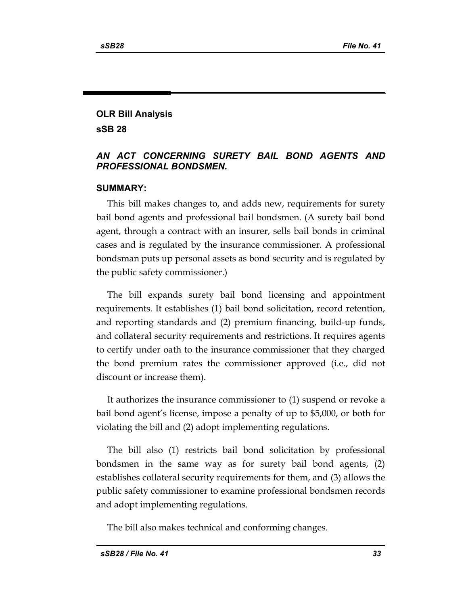# **OLR Bill Analysis sSB 28**

## *AN ACT CONCERNING SURETY BAIL BOND AGENTS AND PROFESSIONAL BONDSMEN.*

### **SUMMARY:**

This bill makes changes to, and adds new, requirements for surety bail bond agents and professional bail bondsmen. (A surety bail bond agent, through a contract with an insurer, sells bail bonds in criminal cases and is regulated by the insurance commissioner. A professional bondsman puts up personal assets as bond security and is regulated by the public safety commissioner.)

The bill expands surety bail bond licensing and appointment requirements. It establishes (1) bail bond solicitation, record retention, and reporting standards and (2) premium financing, build-up funds, and collateral security requirements and restrictions. It requires agents to certify under oath to the insurance commissioner that they charged the bond premium rates the commissioner approved (i.e., did not discount or increase them).

It authorizes the insurance commissioner to (1) suspend or revoke a bail bond agent's license, impose a penalty of up to \$5,000, or both for violating the bill and (2) adopt implementing regulations.

The bill also (1) restricts bail bond solicitation by professional bondsmen in the same way as for surety bail bond agents, (2) establishes collateral security requirements for them, and (3) allows the public safety commissioner to examine professional bondsmen records and adopt implementing regulations.

The bill also makes technical and conforming changes.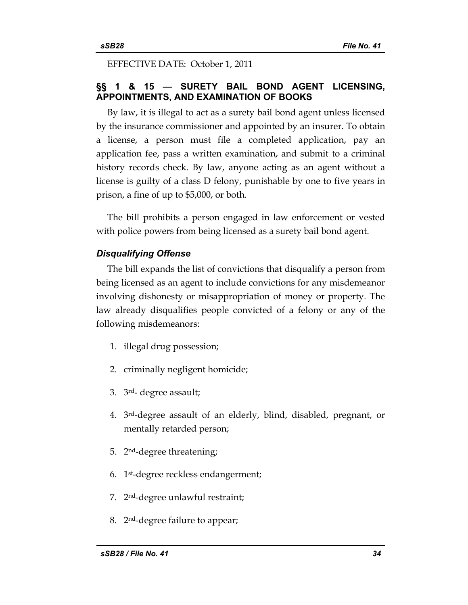EFFECTIVE DATE: October 1, 2011

## **§§ 1 & 15 — SURETY BAIL BOND AGENT LICENSING, APPOINTMENTS, AND EXAMINATION OF BOOKS**

By law, it is illegal to act as a surety bail bond agent unless licensed by the insurance commissioner and appointed by an insurer. To obtain a license, a person must file a completed application, pay an application fee, pass a written examination, and submit to a criminal history records check. By law, anyone acting as an agent without a license is guilty of a class D felony, punishable by one to five years in prison, a fine of up to \$5,000, or both.

The bill prohibits a person engaged in law enforcement or vested with police powers from being licensed as a surety bail bond agent.

## *Disqualifying Offense*

The bill expands the list of convictions that disqualify a person from being licensed as an agent to include convictions for any misdemeanor involving dishonesty or misappropriation of money or property. The law already disqualifies people convicted of a felony or any of the following misdemeanors:

- 1. illegal drug possession;
- 2. criminally negligent homicide;
- 3. 3rd- degree assault;
- 4. 3rd-degree assault of an elderly, blind, disabled, pregnant, or mentally retarded person;
- 5. 2nd-degree threatening;
- 6. 1st-degree reckless endangerment;
- 7. 2nd-degree unlawful restraint;
- 8. 2nd-degree failure to appear;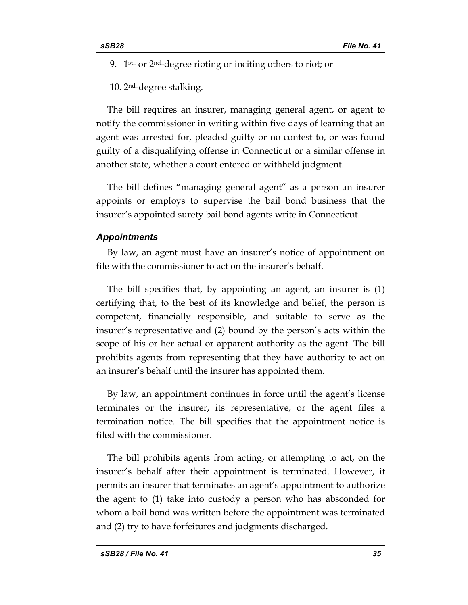9. 1<sup>st</sup>- or 2<sup>nd</sup>-degree rioting or inciting others to riot; or

10. 2nd-degree stalking.

The bill requires an insurer, managing general agent, or agent to notify the commissioner in writing within five days of learning that an agent was arrested for, pleaded guilty or no contest to, or was found guilty of a disqualifying offense in Connecticut or a similar offense in another state, whether a court entered or withheld judgment.

The bill defines "managing general agent" as a person an insurer appoints or employs to supervise the bail bond business that the insurer's appointed surety bail bond agents write in Connecticut.

#### *Appointments*

By law, an agent must have an insurer's notice of appointment on file with the commissioner to act on the insurer's behalf.

The bill specifies that, by appointing an agent, an insurer is (1) certifying that, to the best of its knowledge and belief, the person is competent, financially responsible, and suitable to serve as the insurer's representative and (2) bound by the person's acts within the scope of his or her actual or apparent authority as the agent. The bill prohibits agents from representing that they have authority to act on an insurer's behalf until the insurer has appointed them.

By law, an appointment continues in force until the agent's license terminates or the insurer, its representative, or the agent files a termination notice. The bill specifies that the appointment notice is filed with the commissioner.

The bill prohibits agents from acting, or attempting to act, on the insurer's behalf after their appointment is terminated. However, it permits an insurer that terminates an agent's appointment to authorize the agent to (1) take into custody a person who has absconded for whom a bail bond was written before the appointment was terminated and (2) try to have forfeitures and judgments discharged.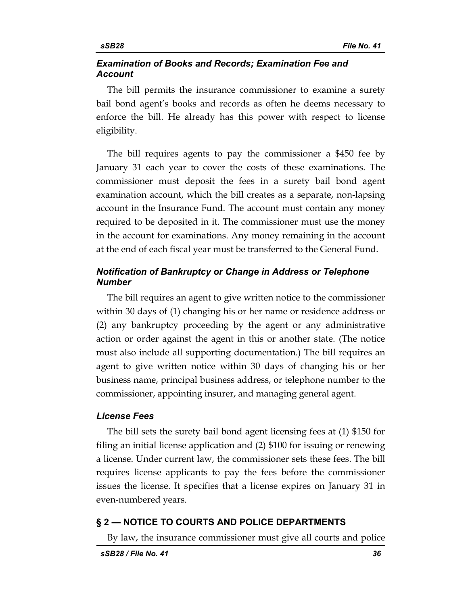## *Examination of Books and Records; Examination Fee and Account*

The bill permits the insurance commissioner to examine a surety bail bond agent's books and records as often he deems necessary to enforce the bill. He already has this power with respect to license eligibility.

The bill requires agents to pay the commissioner a \$450 fee by January 31 each year to cover the costs of these examinations. The commissioner must deposit the fees in a surety bail bond agent examination account, which the bill creates as a separate, non-lapsing account in the Insurance Fund. The account must contain any money required to be deposited in it. The commissioner must use the money in the account for examinations. Any money remaining in the account at the end of each fiscal year must be transferred to the General Fund.

## *Notification of Bankruptcy or Change in Address or Telephone Number*

The bill requires an agent to give written notice to the commissioner within 30 days of (1) changing his or her name or residence address or (2) any bankruptcy proceeding by the agent or any administrative action or order against the agent in this or another state. (The notice must also include all supporting documentation.) The bill requires an agent to give written notice within 30 days of changing his or her business name, principal business address, or telephone number to the commissioner, appointing insurer, and managing general agent.

### *License Fees*

The bill sets the surety bail bond agent licensing fees at (1) \$150 for filing an initial license application and (2) \$100 for issuing or renewing a license. Under current law, the commissioner sets these fees. The bill requires license applicants to pay the fees before the commissioner issues the license. It specifies that a license expires on January 31 in even-numbered years.

## **§ 2 — NOTICE TO COURTS AND POLICE DEPARTMENTS**

By law, the insurance commissioner must give all courts and police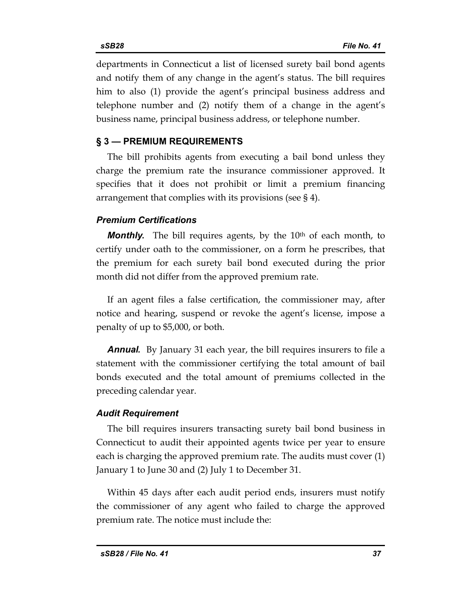departments in Connecticut a list of licensed surety bail bond agents and notify them of any change in the agent's status. The bill requires him to also (1) provide the agent's principal business address and telephone number and (2) notify them of a change in the agent's business name, principal business address, or telephone number.

## **§ 3 — PREMIUM REQUIREMENTS**

The bill prohibits agents from executing a bail bond unless they charge the premium rate the insurance commissioner approved. It specifies that it does not prohibit or limit a premium financing arrangement that complies with its provisions (see § 4).

## *Premium Certifications*

*Monthly*. The bill requires agents, by the 10<sup>th</sup> of each month, to certify under oath to the commissioner, on a form he prescribes, that the premium for each surety bail bond executed during the prior month did not differ from the approved premium rate.

If an agent files a false certification, the commissioner may, after notice and hearing, suspend or revoke the agent's license, impose a penalty of up to \$5,000, or both.

*Annual.* By January 31 each year, the bill requires insurers to file a statement with the commissioner certifying the total amount of bail bonds executed and the total amount of premiums collected in the preceding calendar year.

## *Audit Requirement*

The bill requires insurers transacting surety bail bond business in Connecticut to audit their appointed agents twice per year to ensure each is charging the approved premium rate. The audits must cover (1) January 1 to June 30 and (2) July 1 to December 31.

Within 45 days after each audit period ends, insurers must notify the commissioner of any agent who failed to charge the approved premium rate. The notice must include the: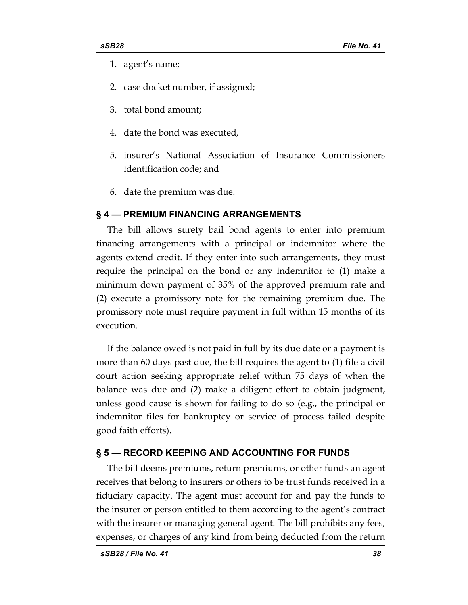- 1. agent's name;
- 2. case docket number, if assigned;
- 3. total bond amount;
- 4. date the bond was executed,
- 5. insurer's National Association of Insurance Commissioners identification code; and
- 6. date the premium was due.

#### **§ 4 — PREMIUM FINANCING ARRANGEMENTS**

The bill allows surety bail bond agents to enter into premium financing arrangements with a principal or indemnitor where the agents extend credit. If they enter into such arrangements, they must require the principal on the bond or any indemnitor to (1) make a minimum down payment of 35% of the approved premium rate and (2) execute a promissory note for the remaining premium due. The promissory note must require payment in full within 15 months of its execution.

If the balance owed is not paid in full by its due date or a payment is more than 60 days past due, the bill requires the agent to (1) file a civil court action seeking appropriate relief within 75 days of when the balance was due and (2) make a diligent effort to obtain judgment, unless good cause is shown for failing to do so (e.g., the principal or indemnitor files for bankruptcy or service of process failed despite good faith efforts).

#### **§ 5 — RECORD KEEPING AND ACCOUNTING FOR FUNDS**

The bill deems premiums, return premiums, or other funds an agent receives that belong to insurers or others to be trust funds received in a fiduciary capacity. The agent must account for and pay the funds to the insurer or person entitled to them according to the agent's contract with the insurer or managing general agent. The bill prohibits any fees, expenses, or charges of any kind from being deducted from the return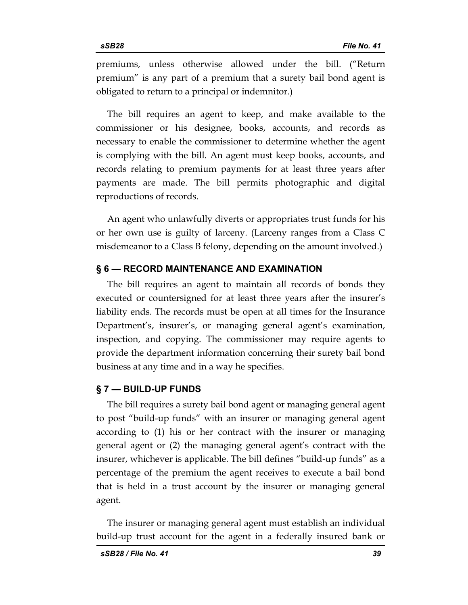premiums, unless otherwise allowed under the bill. ("Return premium" is any part of a premium that a surety bail bond agent is obligated to return to a principal or indemnitor.)

The bill requires an agent to keep, and make available to the commissioner or his designee, books, accounts, and records as necessary to enable the commissioner to determine whether the agent is complying with the bill. An agent must keep books, accounts, and records relating to premium payments for at least three years after payments are made. The bill permits photographic and digital reproductions of records.

An agent who unlawfully diverts or appropriates trust funds for his or her own use is guilty of larceny. (Larceny ranges from a Class C misdemeanor to a Class B felony, depending on the amount involved.)

## **§ 6 — RECORD MAINTENANCE AND EXAMINATION**

The bill requires an agent to maintain all records of bonds they executed or countersigned for at least three years after the insurer's liability ends. The records must be open at all times for the Insurance Department's, insurer's, or managing general agent's examination, inspection, and copying. The commissioner may require agents to provide the department information concerning their surety bail bond business at any time and in a way he specifies.

### **§ 7 — BUILD-UP FUNDS**

The bill requires a surety bail bond agent or managing general agent to post "build-up funds" with an insurer or managing general agent according to (1) his or her contract with the insurer or managing general agent or (2) the managing general agent's contract with the insurer, whichever is applicable. The bill defines "build-up funds" as a percentage of the premium the agent receives to execute a bail bond that is held in a trust account by the insurer or managing general agent.

The insurer or managing general agent must establish an individual build-up trust account for the agent in a federally insured bank or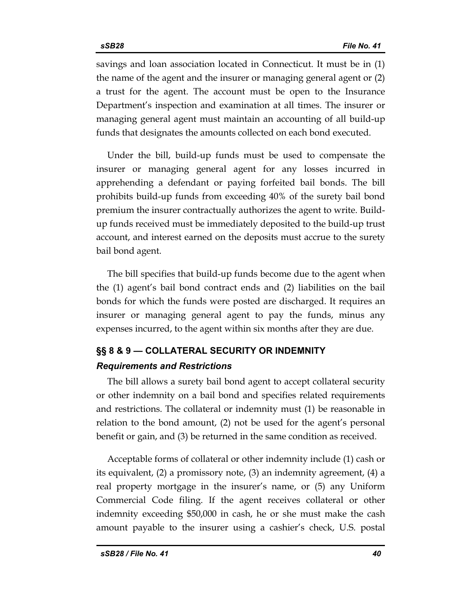savings and loan association located in Connecticut. It must be in (1) the name of the agent and the insurer or managing general agent or (2) a trust for the agent. The account must be open to the Insurance Department's inspection and examination at all times. The insurer or managing general agent must maintain an accounting of all build-up funds that designates the amounts collected on each bond executed.

Under the bill, build-up funds must be used to compensate the insurer or managing general agent for any losses incurred in apprehending a defendant or paying forfeited bail bonds. The bill prohibits build-up funds from exceeding 40% of the surety bail bond premium the insurer contractually authorizes the agent to write. Buildup funds received must be immediately deposited to the build-up trust account, and interest earned on the deposits must accrue to the surety bail bond agent.

The bill specifies that build-up funds become due to the agent when the (1) agent's bail bond contract ends and (2) liabilities on the bail bonds for which the funds were posted are discharged. It requires an insurer or managing general agent to pay the funds, minus any expenses incurred, to the agent within six months after they are due.

# **§§ 8 & 9 — COLLATERAL SECURITY OR INDEMNITY**  *Requirements and Restrictions*

The bill allows a surety bail bond agent to accept collateral security or other indemnity on a bail bond and specifies related requirements and restrictions. The collateral or indemnity must (1) be reasonable in relation to the bond amount, (2) not be used for the agent's personal benefit or gain, and (3) be returned in the same condition as received.

Acceptable forms of collateral or other indemnity include (1) cash or its equivalent, (2) a promissory note, (3) an indemnity agreement, (4) a real property mortgage in the insurer's name, or (5) any Uniform Commercial Code filing. If the agent receives collateral or other indemnity exceeding \$50,000 in cash, he or she must make the cash amount payable to the insurer using a cashier's check, U.S. postal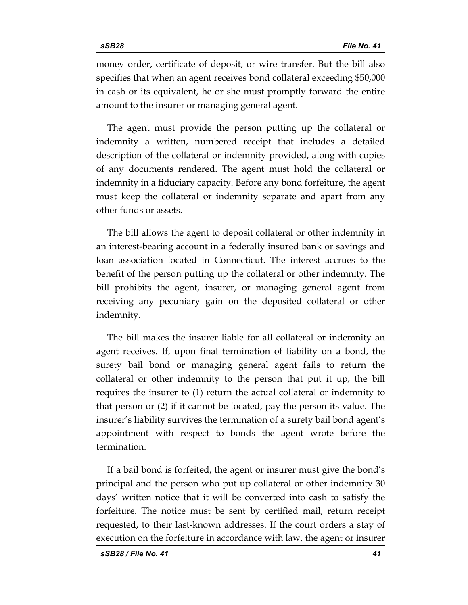money order, certificate of deposit, or wire transfer. But the bill also specifies that when an agent receives bond collateral exceeding \$50,000 in cash or its equivalent, he or she must promptly forward the entire amount to the insurer or managing general agent.

The agent must provide the person putting up the collateral or indemnity a written, numbered receipt that includes a detailed description of the collateral or indemnity provided, along with copies of any documents rendered. The agent must hold the collateral or indemnity in a fiduciary capacity. Before any bond forfeiture, the agent must keep the collateral or indemnity separate and apart from any other funds or assets.

The bill allows the agent to deposit collateral or other indemnity in an interest-bearing account in a federally insured bank or savings and loan association located in Connecticut. The interest accrues to the benefit of the person putting up the collateral or other indemnity. The bill prohibits the agent, insurer, or managing general agent from receiving any pecuniary gain on the deposited collateral or other indemnity.

The bill makes the insurer liable for all collateral or indemnity an agent receives. If, upon final termination of liability on a bond, the surety bail bond or managing general agent fails to return the collateral or other indemnity to the person that put it up, the bill requires the insurer to (1) return the actual collateral or indemnity to that person or (2) if it cannot be located, pay the person its value. The insurer's liability survives the termination of a surety bail bond agent's appointment with respect to bonds the agent wrote before the termination.

If a bail bond is forfeited, the agent or insurer must give the bond's principal and the person who put up collateral or other indemnity 30 days' written notice that it will be converted into cash to satisfy the forfeiture. The notice must be sent by certified mail, return receipt requested, to their last-known addresses. If the court orders a stay of execution on the forfeiture in accordance with law, the agent or insurer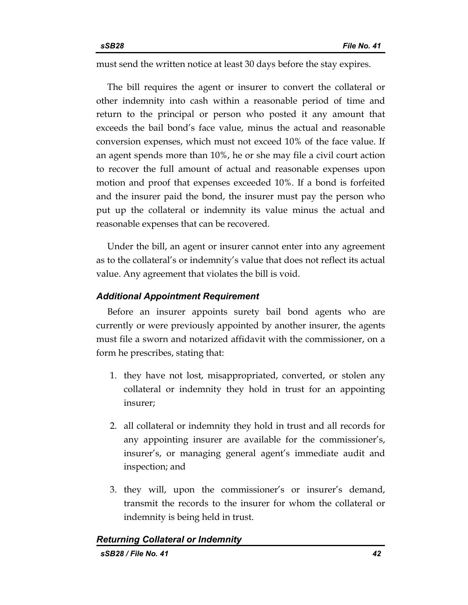must send the written notice at least 30 days before the stay expires.

The bill requires the agent or insurer to convert the collateral or other indemnity into cash within a reasonable period of time and return to the principal or person who posted it any amount that exceeds the bail bond's face value, minus the actual and reasonable conversion expenses, which must not exceed 10% of the face value. If an agent spends more than 10%, he or she may file a civil court action to recover the full amount of actual and reasonable expenses upon motion and proof that expenses exceeded 10%. If a bond is forfeited and the insurer paid the bond, the insurer must pay the person who put up the collateral or indemnity its value minus the actual and reasonable expenses that can be recovered.

Under the bill, an agent or insurer cannot enter into any agreement as to the collateral's or indemnity's value that does not reflect its actual value. Any agreement that violates the bill is void.

## *Additional Appointment Requirement*

Before an insurer appoints surety bail bond agents who are currently or were previously appointed by another insurer, the agents must file a sworn and notarized affidavit with the commissioner, on a form he prescribes, stating that:

- 1. they have not lost, misappropriated, converted, or stolen any collateral or indemnity they hold in trust for an appointing insurer;
- 2. all collateral or indemnity they hold in trust and all records for any appointing insurer are available for the commissioner's, insurer's, or managing general agent's immediate audit and inspection; and
- 3. they will, upon the commissioner's or insurer's demand, transmit the records to the insurer for whom the collateral or indemnity is being held in trust.

```
Returning Collateral or Indemnity
```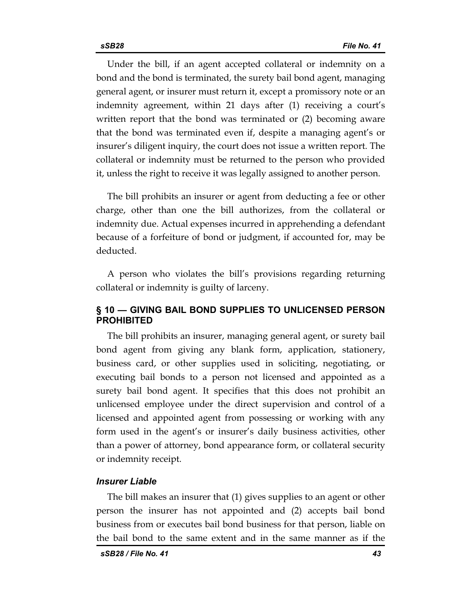Under the bill, if an agent accepted collateral or indemnity on a bond and the bond is terminated, the surety bail bond agent, managing general agent, or insurer must return it, except a promissory note or an indemnity agreement, within 21 days after (1) receiving a court's written report that the bond was terminated or (2) becoming aware that the bond was terminated even if, despite a managing agent's or insurer's diligent inquiry, the court does not issue a written report. The collateral or indemnity must be returned to the person who provided it, unless the right to receive it was legally assigned to another person.

The bill prohibits an insurer or agent from deducting a fee or other charge, other than one the bill authorizes, from the collateral or indemnity due. Actual expenses incurred in apprehending a defendant because of a forfeiture of bond or judgment, if accounted for, may be deducted.

A person who violates the bill's provisions regarding returning collateral or indemnity is guilty of larceny.

## **§ 10 — GIVING BAIL BOND SUPPLIES TO UNLICENSED PERSON PROHIBITED**

The bill prohibits an insurer, managing general agent, or surety bail bond agent from giving any blank form, application, stationery, business card, or other supplies used in soliciting, negotiating, or executing bail bonds to a person not licensed and appointed as a surety bail bond agent. It specifies that this does not prohibit an unlicensed employee under the direct supervision and control of a licensed and appointed agent from possessing or working with any form used in the agent's or insurer's daily business activities, other than a power of attorney, bond appearance form, or collateral security or indemnity receipt.

## *Insurer Liable*

The bill makes an insurer that (1) gives supplies to an agent or other person the insurer has not appointed and (2) accepts bail bond business from or executes bail bond business for that person, liable on the bail bond to the same extent and in the same manner as if the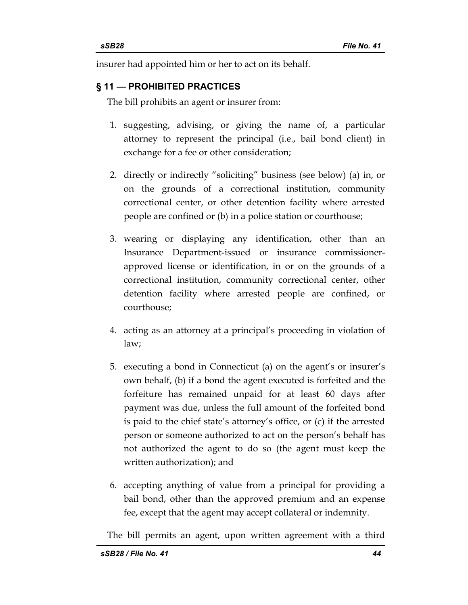insurer had appointed him or her to act on its behalf.

## **§ 11 — PROHIBITED PRACTICES**

The bill prohibits an agent or insurer from:

- 1. suggesting, advising, or giving the name of, a particular attorney to represent the principal (i.e., bail bond client) in exchange for a fee or other consideration;
- 2. directly or indirectly "soliciting" business (see below) (a) in, or on the grounds of a correctional institution, community correctional center, or other detention facility where arrested people are confined or (b) in a police station or courthouse;
- 3. wearing or displaying any identification, other than an Insurance Department-issued or insurance commissionerapproved license or identification, in or on the grounds of a correctional institution, community correctional center, other detention facility where arrested people are confined, or courthouse;
- 4. acting as an attorney at a principal's proceeding in violation of law;
- 5. executing a bond in Connecticut (a) on the agent's or insurer's own behalf, (b) if a bond the agent executed is forfeited and the forfeiture has remained unpaid for at least 60 days after payment was due, unless the full amount of the forfeited bond is paid to the chief state's attorney's office, or (c) if the arrested person or someone authorized to act on the person's behalf has not authorized the agent to do so (the agent must keep the written authorization); and
- 6. accepting anything of value from a principal for providing a bail bond, other than the approved premium and an expense fee, except that the agent may accept collateral or indemnity.

The bill permits an agent, upon written agreement with a third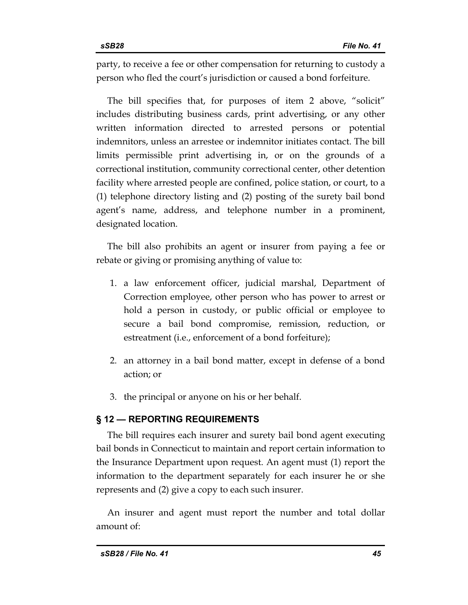party, to receive a fee or other compensation for returning to custody a person who fled the court's jurisdiction or caused a bond forfeiture.

The bill specifies that, for purposes of item 2 above, "solicit" includes distributing business cards, print advertising, or any other written information directed to arrested persons or potential indemnitors, unless an arrestee or indemnitor initiates contact. The bill limits permissible print advertising in, or on the grounds of a correctional institution, community correctional center, other detention facility where arrested people are confined, police station, or court, to a (1) telephone directory listing and (2) posting of the surety bail bond agent's name, address, and telephone number in a prominent, designated location.

The bill also prohibits an agent or insurer from paying a fee or rebate or giving or promising anything of value to:

- 1. a law enforcement officer, judicial marshal, Department of Correction employee, other person who has power to arrest or hold a person in custody, or public official or employee to secure a bail bond compromise, remission, reduction, or estreatment (i.e., enforcement of a bond forfeiture);
- 2. an attorney in a bail bond matter, except in defense of a bond action; or
- 3. the principal or anyone on his or her behalf.

## **§ 12 — REPORTING REQUIREMENTS**

The bill requires each insurer and surety bail bond agent executing bail bonds in Connecticut to maintain and report certain information to the Insurance Department upon request. An agent must (1) report the information to the department separately for each insurer he or she represents and (2) give a copy to each such insurer.

An insurer and agent must report the number and total dollar amount of: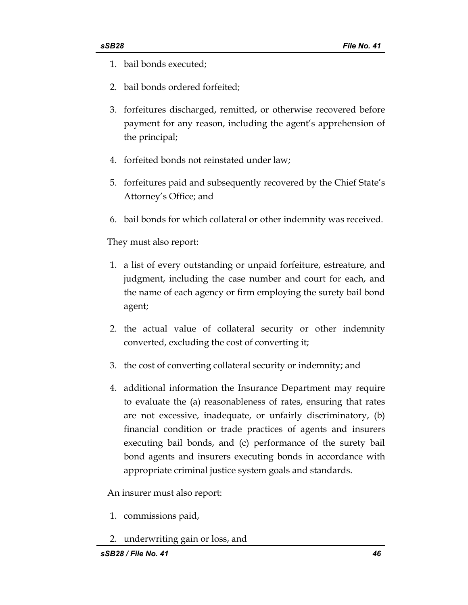- 1. bail bonds executed;
- 2. bail bonds ordered forfeited;
- 3. forfeitures discharged, remitted, or otherwise recovered before payment for any reason, including the agent's apprehension of the principal;
- 4. forfeited bonds not reinstated under law;
- 5. forfeitures paid and subsequently recovered by the Chief State's Attorney's Office; and
- 6. bail bonds for which collateral or other indemnity was received.

They must also report:

- 1. a list of every outstanding or unpaid forfeiture, estreature, and judgment, including the case number and court for each, and the name of each agency or firm employing the surety bail bond agent;
- 2. the actual value of collateral security or other indemnity converted, excluding the cost of converting it;
- 3. the cost of converting collateral security or indemnity; and
- 4. additional information the Insurance Department may require to evaluate the (a) reasonableness of rates, ensuring that rates are not excessive, inadequate, or unfairly discriminatory, (b) financial condition or trade practices of agents and insurers executing bail bonds, and (c) performance of the surety bail bond agents and insurers executing bonds in accordance with appropriate criminal justice system goals and standards.

An insurer must also report:

- 1. commissions paid,
- 2. underwriting gain or loss, and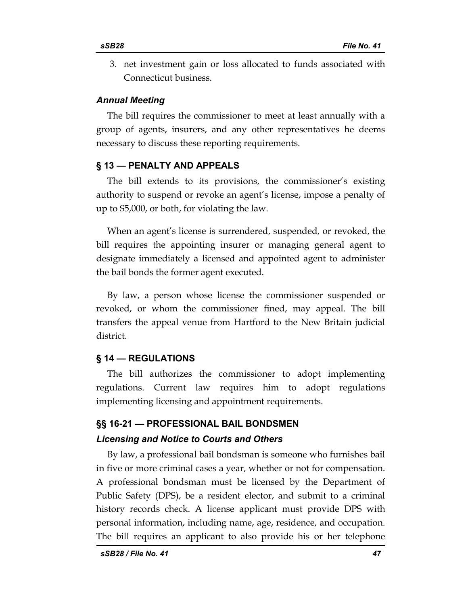3. net investment gain or loss allocated to funds associated with Connecticut business.

### *Annual Meeting*

The bill requires the commissioner to meet at least annually with a group of agents, insurers, and any other representatives he deems necessary to discuss these reporting requirements.

#### **§ 13 — PENALTY AND APPEALS**

The bill extends to its provisions, the commissioner's existing authority to suspend or revoke an agent's license, impose a penalty of up to \$5,000, or both, for violating the law.

When an agent's license is surrendered, suspended, or revoked, the bill requires the appointing insurer or managing general agent to designate immediately a licensed and appointed agent to administer the bail bonds the former agent executed.

By law, a person whose license the commissioner suspended or revoked, or whom the commissioner fined, may appeal. The bill transfers the appeal venue from Hartford to the New Britain judicial district.

### **§ 14 — REGULATIONS**

The bill authorizes the commissioner to adopt implementing regulations. Current law requires him to adopt regulations implementing licensing and appointment requirements.

## **§§ 16-21 — PROFESSIONAL BAIL BONDSMEN**

#### *Licensing and Notice to Courts and Others*

By law, a professional bail bondsman is someone who furnishes bail in five or more criminal cases a year, whether or not for compensation. A professional bondsman must be licensed by the Department of Public Safety (DPS), be a resident elector, and submit to a criminal history records check. A license applicant must provide DPS with personal information, including name, age, residence, and occupation. The bill requires an applicant to also provide his or her telephone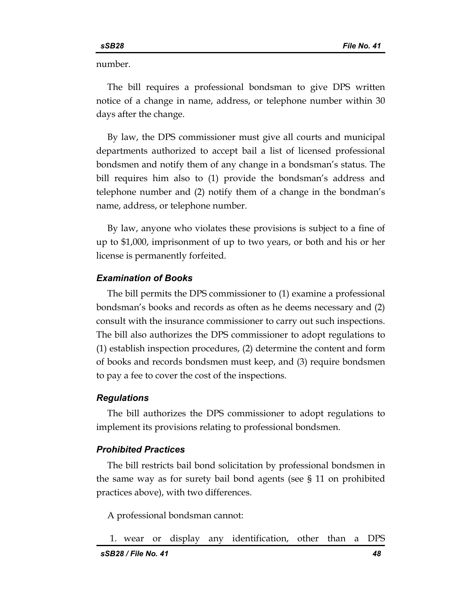number.

The bill requires a professional bondsman to give DPS written notice of a change in name, address, or telephone number within 30 days after the change.

By law, the DPS commissioner must give all courts and municipal departments authorized to accept bail a list of licensed professional bondsmen and notify them of any change in a bondsman's status. The bill requires him also to (1) provide the bondsman's address and telephone number and (2) notify them of a change in the bondman's name, address, or telephone number.

By law, anyone who violates these provisions is subject to a fine of up to \$1,000, imprisonment of up to two years, or both and his or her license is permanently forfeited.

#### *Examination of Books*

The bill permits the DPS commissioner to (1) examine a professional bondsman's books and records as often as he deems necessary and (2) consult with the insurance commissioner to carry out such inspections. The bill also authorizes the DPS commissioner to adopt regulations to (1) establish inspection procedures, (2) determine the content and form of books and records bondsmen must keep, and (3) require bondsmen to pay a fee to cover the cost of the inspections.

#### *Regulations*

The bill authorizes the DPS commissioner to adopt regulations to implement its provisions relating to professional bondsmen.

#### *Prohibited Practices*

The bill restricts bail bond solicitation by professional bondsmen in the same way as for surety bail bond agents (see § 11 on prohibited practices above), with two differences.

A professional bondsman cannot:

```
1. wear or display any identification, other than a DPS
```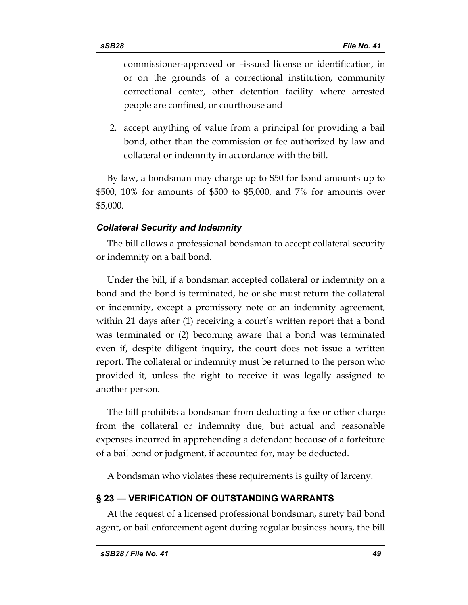commissioner-approved or –issued license or identification, in or on the grounds of a correctional institution, community correctional center, other detention facility where arrested people are confined, or courthouse and

2. accept anything of value from a principal for providing a bail bond, other than the commission or fee authorized by law and collateral or indemnity in accordance with the bill.

By law, a bondsman may charge up to \$50 for bond amounts up to \$500, 10% for amounts of \$500 to \$5,000, and 7% for amounts over \$5,000.

## *Collateral Security and Indemnity*

The bill allows a professional bondsman to accept collateral security or indemnity on a bail bond.

Under the bill, if a bondsman accepted collateral or indemnity on a bond and the bond is terminated, he or she must return the collateral or indemnity, except a promissory note or an indemnity agreement, within 21 days after (1) receiving a court's written report that a bond was terminated or (2) becoming aware that a bond was terminated even if, despite diligent inquiry, the court does not issue a written report. The collateral or indemnity must be returned to the person who provided it, unless the right to receive it was legally assigned to another person.

The bill prohibits a bondsman from deducting a fee or other charge from the collateral or indemnity due, but actual and reasonable expenses incurred in apprehending a defendant because of a forfeiture of a bail bond or judgment, if accounted for, may be deducted.

A bondsman who violates these requirements is guilty of larceny.

## **§ 23 — VERIFICATION OF OUTSTANDING WARRANTS**

At the request of a licensed professional bondsman, surety bail bond agent, or bail enforcement agent during regular business hours, the bill